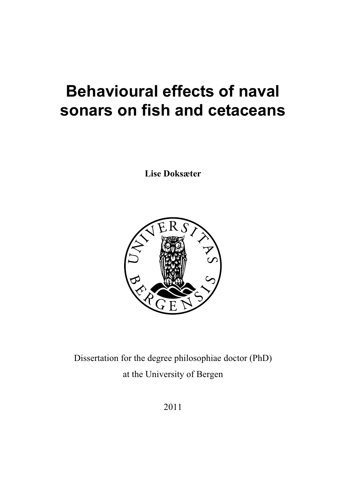# **Behavioural effects of naval sonars on fish and cetaceans**

**Lise Doksæter** 



Dissertation for the degree philosophiae doctor (PhD) at the University of Bergen

2011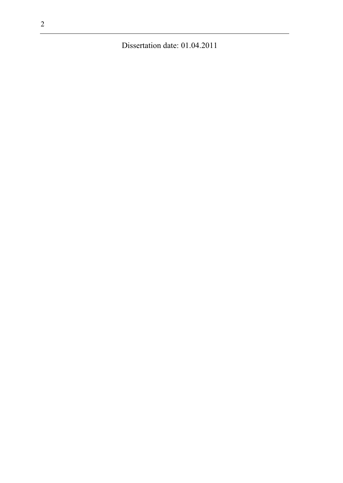Dissertation date: 01.04.2011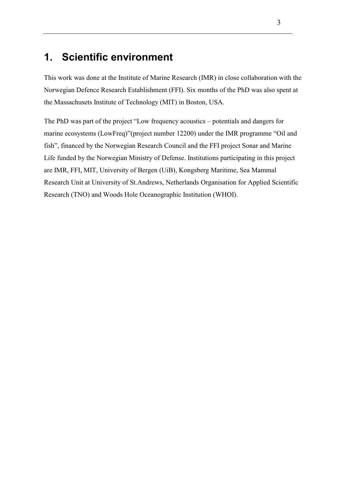# **1. Scientific environment**

This work was done at the Institute of Marine Research (IMR) in close collaboration with the Norwegian Defence Research Establishment (FFI). Six months of the PhD was also spent at the Massachusets Institute of Technology (MIT) in Boston, USA.

The PhD was part of the project "Low frequency acoustics – potentials and dangers for marine ecosystems (LowFreq)"(project number 12200) under the IMR programme "Oil and fish", financed by the Norwegian Research Council and the FFI project Sonar and Marine Life funded by the Norwegian Ministry of Defense. Institutions participating in this project are IMR, FFI, MIT, University of Bergen (UiB), Kongsberg Maritime, Sea Mammal Research Unit at University of St.Andrews, Netherlands Organisation for Applied Scientific Research (TNO) and Woods Hole Oceanographic Institution (WHOI).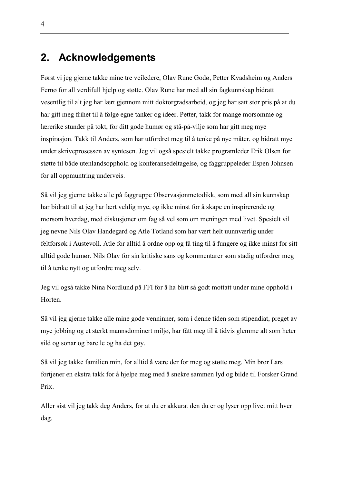# **2. Acknowledgements**

Først vi jeg gjerne takke mine tre veiledere, Olav Rune Godø, Petter Kvadsheim og Anders Fernø for all verdifull hjelp og støtte. Olav Rune har med all sin fagkunnskap bidratt vesentlig til alt jeg har lært gjennom mitt doktorgradsarbeid, og jeg har satt stor pris på at du har gitt meg frihet til å følge egne tanker og ideer. Petter, takk for mange morsomme og lærerike stunder på tokt, for ditt gode humør og stå-på-vilje som har gitt meg mye inspirasjon. Takk til Anders, som har utfordret meg til å tenke på nye måter, og bidratt mye under skriveprosessen av syntesen. Jeg vil også spesielt takke programleder Erik Olsen for støtte til både utenlandsopphold og konferansedeltagelse, og faggruppeleder Espen Johnsen for all oppmuntring underveis.

Så vil jeg gjerne takke alle på faggruppe Observasjonmetodikk, som med all sin kunnskap har bidratt til at jeg har lært veldig mye, og ikke minst for å skape en inspirerende og morsom hverdag, med diskusjoner om fag så vel som om meningen med livet. Spesielt vil jeg nevne Nils Olav Handegard og Atle Totland som har vært helt uunnværlig under feltforsøk i Austevoll. Atle for alltid å ordne opp og få ting til å fungere og ikke minst for sitt alltid gode humør. Nils Olav for sin kritiske sans og kommentarer som stadig utfordrer meg til å tenke nytt og utfordre meg selv.

Jeg vil også takke Nina Nordlund på FFI for å ha blitt så godt mottatt under mine opphold i Horten.

Så vil jeg gjerne takke alle mine gode venninner, som i denne tiden som stipendiat, preget av mye jobbing og et sterkt mannsdominert miljø, har fått meg til å tidvis glemme alt som heter sild og sonar og bare le og ha det gøy.

Så vil jeg takke familien min, for alltid å være der for meg og støtte meg. Min bror Lars fortjener en ekstra takk for å hjelpe meg med å snekre sammen lyd og bilde til Forsker Grand Prix.

Aller sist vil jeg takk deg Anders, for at du er akkurat den du er og lyser opp livet mitt hver dag.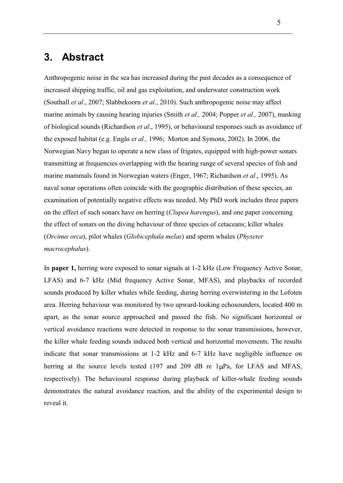# **3. Abstract**

Anthropogenic noise in the sea has increased during the past decades as a consequence of increased shipping traffic, oil and gas exploitation, and underwater construction work (Southall *et al*., 2007; Slabbekoorn *et al*., 2010). Such anthropogenic noise may affect marine animals by causing hearing injuries (Smith *et al.,* 2004; Popper *et al.,* 2007), masking of biological sounds (Richardson *et al*., 1995), or behavioural responses such as avoidance of the exposed habitat (e.g. Engås *et al.,* 1996; Morton and Symons, 2002). In 2006, the Norwegian Navy began to operate a new class of frigates, equipped with high-power sonars transmitting at frequencies overlapping with the hearing range of several species of fish and marine mammals found in Norwegian waters (Enger, 1967; Richardson *et al*., 1995). As naval sonar operations often coincide with the geographic distribution of these species, an examination of potentially negative effects was needed. My PhD work includes three papers on the effect of such sonars have on herring (*Clupea harengus*), and one paper concerning the effect of sonars on the diving behaviour of three species of cetaceans; killer whales (*Orcinus orca*), pilot whales (*Globicephala melas*) and sperm whales (*Physeter macrocephalus*).

In **paper 1,** herring were exposed to sonar signals at 1-2 kHz (Low Frequency Active Sonar, LFAS) and 6-7 kHz (Mid frequency Active Sonar, MFAS), and playbacks of recorded sounds produced by killer whales while feeding, during herring overwintering in the Lofoten area. Herring behaviour was monitored by two upward-looking echosounders, located 400 m apart, as the sonar source approached and passed the fish. No significant horizontal or vertical avoidance reactions were detected in response to the sonar transmissions, however, the killer whale feeding sounds induced both vertical and horizontal movements. The results indicate that sonar transmissions at 1-2 kHz and 6-7 kHz have negligible influence on herring at the source levels tested (197 and 209 dB re  $1\mu$ Pa, for LFAS and MFAS, respectively). The behavioural response during playback of killer-whale feeding sounds demonstrates the natural avoidance reaction, and the ability of the experimental design to reveal it.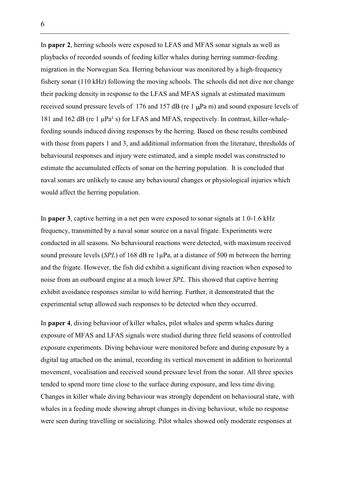In **paper 2**, herring schools were exposed to LFAS and MFAS sonar signals as well as playbacks of recorded sounds of feeding killer whales during herring summer-feeding migration in the Norwegian Sea. Herring behaviour was monitored by a high-frequency fishery sonar (110 kHz) following the moving schools. The schools did not dive nor change their packing density in response to the LFAS and MFAS signals at estimated maximum received sound pressure levels of 176 and 157 dB (re  $1 \mu Pa$  m) and sound exposure levels of 181 and 162 dB (re 1  $\mu$ Pa<sup>2</sup> s) for LFAS and MFAS, respectively. In contrast, killer-whalefeeding sounds induced diving responses by the herring. Based on these results combined with those from papers 1 and 3, and additional information from the literature, thresholds of behavioural responses and injury were estimated, and a simple model was constructed to estimate the accumulated effects of sonar on the herring population. It is concluded that naval sonars are unlikely to cause any behavioural changes or physiological injuries which would affect the herring population.

In **paper 3**, captive herring in a net pen were exposed to sonar signals at 1.0-1.6 kHz frequency, transmitted by a naval sonar source on a naval frigate. Experiments were conducted in all seasons. No behavioural reactions were detected, with maximum received sound pressure levels (*SPL*) of 168 dB re 1μPa, at a distance of 500 m between the herring and the frigate. However, the fish did exhibit a significant diving reaction when exposed to noise from an outboard engine at a much lower *SPL*. This showed that captive herring exhibit avoidance responses similar to wild herring. Further, it demonstrated that the experimental setup allowed such responses to be detected when they occurred.

In **paper 4**, diving behaviour of killer whales, pilot whales and sperm whales during exposure of MFAS and LFAS signals were studied during three field seasons of controlled exposure experiments. Diving behaviour were monitored before and during exposure by a digital tag attached on the animal, recording its vertical movement in addition to horizontal movement, vocalisation and received sound pressure level from the sonar. All three species tended to spend more time close to the surface during exposure, and less time diving. Changes in killer whale diving behaviour was strongly dependent on behavioural state, with whales in a feeding mode showing abrupt changes in diving behaviour, while no response were seen during travelling or socializing. Pilot whales showed only moderate responses at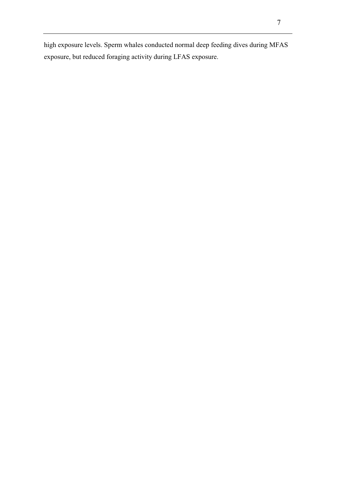high exposure levels. Sperm whales conducted normal deep feeding dives during MFAS exposure, but reduced foraging activity during LFAS exposure.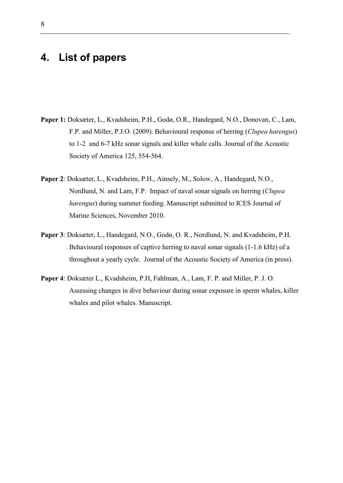## **4. List of papers**

- **Paper 1:** Doksæter, L., Kvadsheim, P.H., Godø, O.R., Handegard, N.O., Donovan, C., Lam, F.P. and Miller, P.J.O. (2009). Behavioural response of herring (*Clupea harengus*) to 1-2 and 6-7 kHz sonar signals and killer whale calls. Journal of the Acoustic Society of America 125, 554-564.
- **Paper 2**: Doksæter, L., Kvadsheim, P.H., Ainsely, M., Solow, A., Handegard, N.O., Nordlund, N. and Lam, F.P. Impact of naval sonar signals on herring (*Clupea harengus*) during summer feeding. Manuscript submitted to ICES Journal of Marine Sciences, November 2010.
- **Paper 3**: Doksæter, L., Handegard, N.O., Godø, O. R., Nordlund, N. and Kvadsheim, P.H. Behavioural responses of captive herring to naval sonar signals (1-1.6 kHz) of a throughout a yearly cycle. Journal of the Acoustic Society of America (in press).
- **Paper 4**: Doksæter L., Kvadsheim, P.H, Fahlman, A., Lam, F. P. and Miller, P. J. O. Assessing changes in dive behaviour during sonar exposure in sperm whales, killer whales and pilot whales. Manuscript.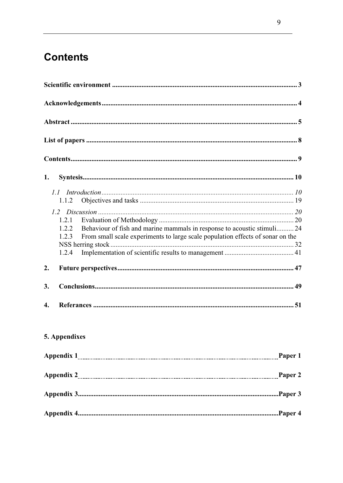# **Contents**

| 1. |                                                                                                                                                                                                      |
|----|------------------------------------------------------------------------------------------------------------------------------------------------------------------------------------------------------|
|    | 1.1<br>1.1.2                                                                                                                                                                                         |
|    | 1.2<br>1.2.1<br>Behaviour of fish and marine mammals in response to acoustic stimuli 24<br>1.2.2<br>1.2.3<br>From small scale experiments to large scale population effects of sonar on the<br>1.2.4 |
| 2. |                                                                                                                                                                                                      |
| 3. |                                                                                                                                                                                                      |
| 4. |                                                                                                                                                                                                      |
|    | 5. Appendixes                                                                                                                                                                                        |
|    |                                                                                                                                                                                                      |
|    |                                                                                                                                                                                                      |
|    |                                                                                                                                                                                                      |
|    |                                                                                                                                                                                                      |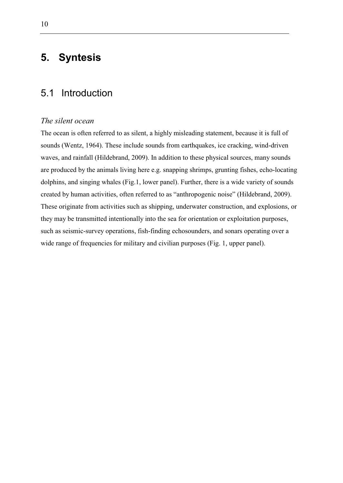# **5. Syntesis**

### 5.1 Introduction

### *The silent ocean*

The ocean is often referred to as silent, a highly misleading statement, because it is full of sounds (Wentz, 1964). These include sounds from earthquakes, ice cracking, wind-driven waves, and rainfall (Hildebrand, 2009). In addition to these physical sources, many sounds are produced by the animals living here e.g. snapping shrimps, grunting fishes, echo-locating dolphins, and singing whales (Fig.1, lower panel). Further, there is a wide variety of sounds created by human activities, often referred to as "anthropogenic noise" (Hildebrand, 2009). These originate from activities such as shipping, underwater construction, and explosions, or they may be transmitted intentionally into the sea for orientation or exploitation purposes, such as seismic-survey operations, fish-finding echosounders, and sonars operating over a wide range of frequencies for military and civilian purposes (Fig. 1, upper panel).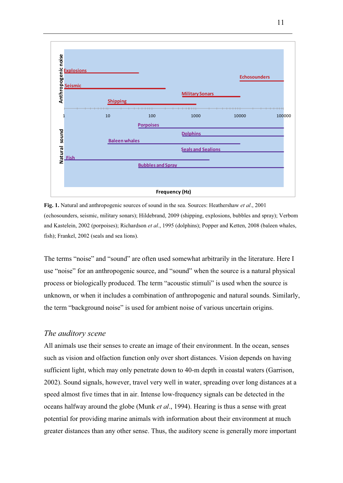

**Fig. 1.** Natural and anthropogenic sources of sound in the sea. Sources: Heathershaw *et al*., 2001 (echosounders, seismic, military sonars); Hildebrand, 2009 (shipping, explosions, bubbles and spray); Verbom and Kastelein, 2002 (porpoises); Richardson *et al*., 1995 (dolphins); Popper and Ketten, 2008 (baleen whales, fish); Frankel, 2002 (seals and sea lions).

The terms "noise" and "sound" are often used somewhat arbitrarily in the literature. Here I use "noise" for an anthropogenic source, and "sound" when the source is a natural physical process or biologically produced. The term "acoustic stimuli" is used when the source is unknown, or when it includes a combination of anthropogenic and natural sounds. Similarly, the term "background noise" is used for ambient noise of various uncertain origins.

#### *The auditory scene*

All animals use their senses to create an image of their environment. In the ocean, senses such as vision and olfaction function only over short distances. Vision depends on having sufficient light, which may only penetrate down to 40-m depth in coastal waters (Garrison, 2002). Sound signals, however, travel very well in water, spreading over long distances at a speed almost five times that in air. Intense low-frequency signals can be detected in the oceans halfway around the globe (Munk *et al*., 1994). Hearing is thus a sense with great potential for providing marine animals with information about their environment at much greater distances than any other sense. Thus, the auditory scene is generally more important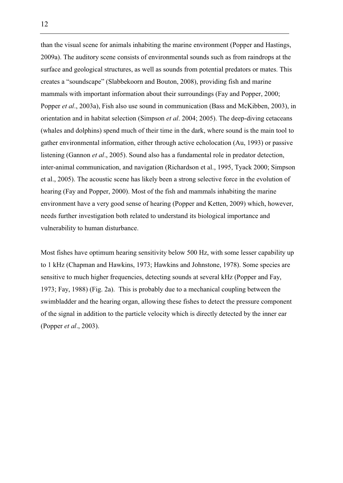than the visual scene for animals inhabiting the marine environment (Popper and Hastings, 2009a). The auditory scene consists of environmental sounds such as from raindrops at the surface and geological structures, as well as sounds from potential predators or mates. This creates a "soundscape" (Slabbekoorn and Bouton, 2008), providing fish and marine mammals with important information about their surroundings (Fay and Popper, 2000; Popper *et al*., 2003a), Fish also use sound in communication (Bass and McKibben, 2003), in orientation and in habitat selection (Simpson *et al*. 2004; 2005). The deep-diving cetaceans (whales and dolphins) spend much of their time in the dark, where sound is the main tool to gather environmental information, either through active echolocation (Au, 1993) or passive listening (Gannon *et al*., 2005). Sound also has a fundamental role in predator detection, inter-animal communication, and navigation (Richardson et al., 1995, Tyack 2000; Simpson et al., 2005). The acoustic scene has likely been a strong selective force in the evolution of hearing (Fay and Popper, 2000). Most of the fish and mammals inhabiting the marine environment have a very good sense of hearing (Popper and Ketten, 2009) which, however, needs further investigation both related to understand its biological importance and vulnerability to human disturbance.

Most fishes have optimum hearing sensitivity below 500 Hz, with some lesser capability up to 1 kHz (Chapman and Hawkins, 1973; Hawkins and Johnstone, 1978). Some species are sensitive to much higher frequencies, detecting sounds at several kHz (Popper and Fay, 1973; Fay, 1988) (Fig. 2a). This is probably due to a mechanical coupling between the swimbladder and the hearing organ, allowing these fishes to detect the pressure component of the signal in addition to the particle velocity which is directly detected by the inner ear (Popper *et al*., 2003).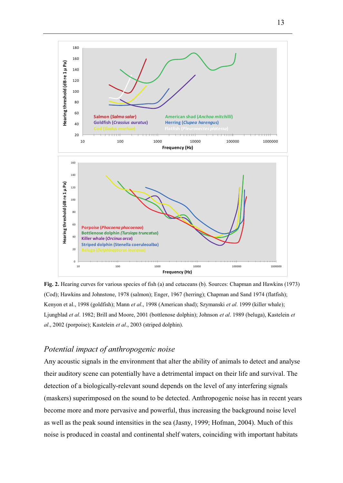

**Fig. 2.** Hearing curves for various species of fish (a) and cetaceans (b). Sources: Chapman and Hawkins (1973) (Cod); Hawkins and Johnstone, 1978 (salmon); Enger, 1967 (herring); Chapman and Sand 1974 (flatfish); Kenyon et al., 1998 (goldfish); Mann *et al*., 1998 (American shad); Szymanski *et al*. 1999 (killer whale); Ljungblad *et al*. 1982; Brill and Moore, 2001 (bottlenose dolphin); Johnson *et al*. 1989 (beluga), Kastelein *et al*., 2002 (porpoise); Kastelein *et al*., 2003 (striped dolphin).

#### *Potential impact of anthropogenic noise*

Any acoustic signals in the environment that alter the ability of animals to detect and analyse their auditory scene can potentially have a detrimental impact on their life and survival. The detection of a biologically-relevant sound depends on the level of any interfering signals (maskers) superimposed on the sound to be detected. Anthropogenic noise has in recent years become more and more pervasive and powerful, thus increasing the background noise level as well as the peak sound intensities in the sea (Jasny, 1999; Hofman, 2004). Much of this noise is produced in coastal and continental shelf waters, coinciding with important habitats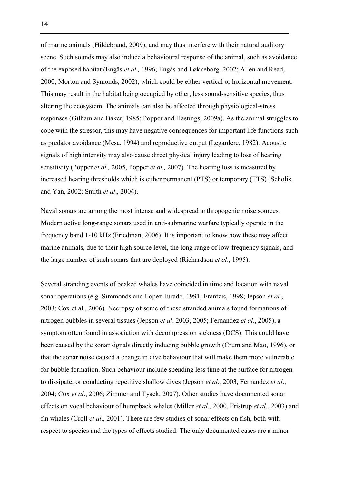of marine animals (Hildebrand, 2009), and may thus interfere with their natural auditory scene. Such sounds may also induce a behavioural response of the animal, such as avoidance of the exposed habitat (Engås *et al.,* 1996; Engås and Løkkeborg, 2002; Allen and Read, 2000; Morton and Symonds, 2002), which could be either vertical or horizontal movement. This may result in the habitat being occupied by other, less sound-sensitive species, thus altering the ecosystem. The animals can also be affected through physiological-stress responses (Gilham and Baker, 1985; Popper and Hastings, 2009a). As the animal struggles to cope with the stressor, this may have negative consequences for important life functions such as predator avoidance (Mesa, 1994) and reproductive output (Legardere, 1982). Acoustic signals of high intensity may also cause direct physical injury leading to loss of hearing sensitivity (Popper *et al.,* 2005, Popper *et al.,* 2007). The hearing loss is measured by increased hearing thresholds which is either permanent (PTS) or temporary (TTS) (Scholik and Yan, 2002; Smith *et al*., 2004).

Naval sonars are among the most intense and widespread anthropogenic noise sources. Modern active long-range sonars used in anti-submarine warfare typically operate in the frequency band 1-10 kHz (Friedman, 2006). It is important to know how these may affect marine animals, due to their high source level, the long range of low-frequency signals, and the large number of such sonars that are deployed (Richardson *et al*., 1995).

Several stranding events of beaked whales have coincided in time and location with naval sonar operations (e.g. Simmonds and Lopez-Jurado, 1991; Frantzis, 1998; Jepson *et al*., 2003; Cox et al., 2006). Necropsy of some of these stranded animals found formations of nitrogen bubbles in several tissues (Jepson *et al*. 2003, 2005; Fernandez *et al*., 2005), a symptom often found in association with decompression sickness (DCS). This could have been caused by the sonar signals directly inducing bubble growth (Crum and Mao, 1996), or that the sonar noise caused a change in dive behaviour that will make them more vulnerable for bubble formation. Such behaviour include spending less time at the surface for nitrogen to dissipate, or conducting repetitive shallow dives (Jepson *et al*., 2003, Fernandez *et al*., 2004; Cox *et al*., 2006; Zimmer and Tyack, 2007). Other studies have documented sonar effects on vocal behaviour of humpback whales (Miller *et al*., 2000, Fristrup *et al*., 2003) and fin whales (Croll *et al*., 2001). There are few studies of sonar effects on fish, both with respect to species and the types of effects studied. The only documented cases are a minor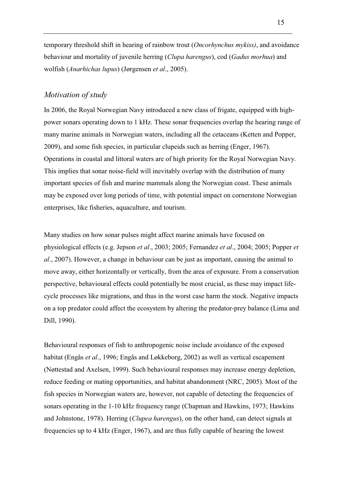temporary threshold shift in hearing of rainbow trout (*Oncorhynchus mykiss)*, and avoidance behaviour and mortality of juvenile herring (*Clupa harengus*), cod (*Gadus morhua*) and wolfish (*Anarhichas lupus*) (Jørgensen *et al*., 2005).

#### *Motivation of study*

In 2006, the Royal Norwegian Navy introduced a new class of frigate, equipped with highpower sonars operating down to 1 kHz. These sonar frequencies overlap the hearing range of many marine animals in Norwegian waters, including all the cetaceans (Ketten and Popper, 2009), and some fish species, in particular clupeids such as herring (Enger, 1967). Operations in coastal and littoral waters are of high priority for the Royal Norwegian Navy. This implies that sonar noise-field will inevitably overlap with the distribution of many important species of fish and marine mammals along the Norwegian coast. These animals may be exposed over long periods of time, with potential impact on cornerstone Norwegian enterprises, like fisheries, aquaculture, and tourism.

Many studies on how sonar pulses might affect marine animals have focused on physiological effects (e.g. Jepson *et al*., 2003; 2005; Fernandez *et al*., 2004; 2005; Popper *et al*., 2007). However, a change in behaviour can be just as important, causing the animal to move away, either horizontally or vertically, from the area of exposure. From a conservation perspective, behavioural effects could potentially be most crucial, as these may impact lifecycle processes like migrations, and thus in the worst case harm the stock. Negative impacts on a top predator could affect the ecosystem by altering the predator-prey balance (Lima and Dill, 1990).

Behavioural responses of fish to anthropogenic noise include avoidance of the exposed habitat (Engås *et al*., 1996; Engås and Løkkeborg, 2002) as well as vertical escapement (Nøttestad and Axelsen, 1999). Such behavioural responses may increase energy depletion, reduce feeding or mating opportunities, and habitat abandonment (NRC, 2005). Most of the fish species in Norwegian waters are, however, not capable of detecting the frequencies of sonars operating in the 1-10 kHz frequency range (Chapman and Hawkins, 1973; Hawkins and Johnstone, 1978). Herring (*Clupea harengus*), on the other hand, can detect signals at frequencies up to 4 kHz (Enger, 1967), and are thus fully capable of hearing the lowest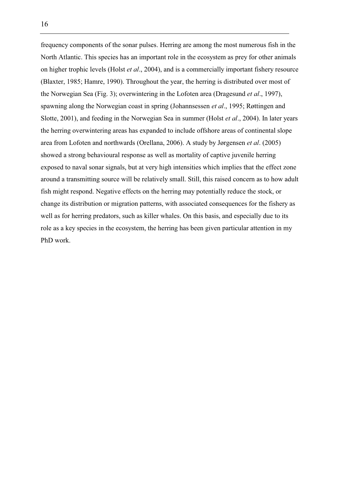frequency components of the sonar pulses. Herring are among the most numerous fish in the North Atlantic. This species has an important role in the ecosystem as prey for other animals on higher trophic levels (Holst *et al*., 2004), and is a commercially important fishery resource (Blaxter, 1985; Hamre, 1990). Throughout the year, the herring is distributed over most of the Norwegian Sea (Fig. 3); overwintering in the Lofoten area (Dragesund *et al*., 1997), spawning along the Norwegian coast in spring (Johannsessen *et al*., 1995; Røttingen and Slotte, 2001), and feeding in the Norwegian Sea in summer (Holst *et al*., 2004). In later years the herring overwintering areas has expanded to include offshore areas of continental slope area from Lofoten and northwards (Orellana, 2006). A study by Jørgensen *et al*. (2005) showed a strong behavioural response as well as mortality of captive juvenile herring exposed to naval sonar signals, but at very high intensities which implies that the effect zone around a transmitting source will be relatively small. Still, this raised concern as to how adult fish might respond. Negative effects on the herring may potentially reduce the stock, or change its distribution or migration patterns, with associated consequences for the fishery as well as for herring predators, such as killer whales. On this basis, and especially due to its role as a key species in the ecosystem, the herring has been given particular attention in my PhD work.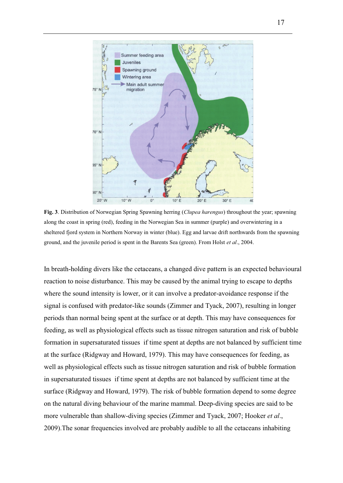

**Fig. 3**. Distribution of Norwegian Spring Spawning herring (*Clupea harengus*) throughout the year; spawning along the coast in spring (red), feeding in the Norwegian Sea in summer (purple) and overwintering in a sheltered fjord system in Northern Norway in winter (blue). Egg and larvae drift northwards from the spawning ground, and the juvenile period is spent in the Barents Sea (green). From Holst *et al*., 2004.

In breath-holding divers like the cetaceans, a changed dive pattern is an expected behavioural reaction to noise disturbance. This may be caused by the animal trying to escape to depths where the sound intensity is lower, or it can involve a predator-avoidance response if the signal is confused with predator-like sounds (Zimmer and Tyack, 2007), resulting in longer periods than normal being spent at the surface or at depth. This may have consequences for feeding, as well as physiological effects such as tissue nitrogen saturation and risk of bubble formation in supersaturated tissues if time spent at depths are not balanced by sufficient time at the surface (Ridgway and Howard, 1979). This may have consequences for feeding, as well as physiological effects such as tissue nitrogen saturation and risk of bubble formation in supersaturated tissues if time spent at depths are not balanced by sufficient time at the surface (Ridgway and Howard, 1979). The risk of bubble formation depend to some degree on the natural diving behaviour of the marine mammal. Deep-diving species are said to be more vulnerable than shallow-diving species (Zimmer and Tyack, 2007; Hooker *et al*., 2009).The sonar frequencies involved are probably audible to all the cetaceans inhabiting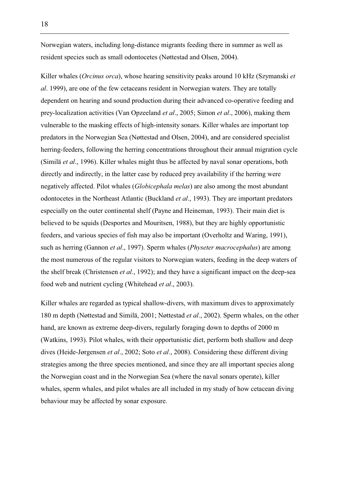Norwegian waters, including long-distance migrants feeding there in summer as well as resident species such as small odontocetes (Nøttestad and Olsen, 2004).

Killer whales (*Orcinus orca*), whose hearing sensitivity peaks around 10 kHz (Szymanski *et al*. 1999), are one of the few cetaceans resident in Norwegian waters. They are totally dependent on hearing and sound production during their advanced co-operative feeding and prey-localization activities (Van Opzeeland *et al*., 2005; Simon *et al*., 2006), making them vulnerable to the masking effects of high-intensity sonars. Killer whales are important top predators in the Norwegian Sea (Nøttestad and Olsen, 2004), and are considered specialist herring-feeders, following the herring concentrations throughout their annual migration cycle (Similä *et al*., 1996). Killer whales might thus be affected by naval sonar operations, both directly and indirectly, in the latter case by reduced prey availability if the herring were negatively affected. Pilot whales (*Globicephala melas*) are also among the most abundant odontocetes in the Northeast Atlantic (Buckland *et al*., 1993). They are important predators especially on the outer continental shelf (Payne and Heineman, 1993). Their main diet is believed to be squids (Desportes and Mouritsen, 1988), but they are highly opportunistic feeders, and various species of fish may also be important (Overholtz and Waring, 1991), such as herring (Gannon *et al*., 1997). Sperm whales (*Physeter macrocephalus*) are among the most numerous of the regular visitors to Norwegian waters, feeding in the deep waters of the shelf break (Christensen *et al*., 1992); and they have a significant impact on the deep-sea food web and nutrient cycling (Whitehead *et al*., 2003).

Killer whales are regarded as typical shallow-divers, with maximum dives to approximately 180 m depth (Nøttestad and Similä, 2001; Nøttestad *et al*., 2002). Sperm whales, on the other hand, are known as extreme deep-divers, regularly foraging down to depths of 2000 m (Watkins, 1993). Pilot whales, with their opportunistic diet, perform both shallow and deep dives (Heide-Jørgensen *et al*., 2002; Soto *et al*., 2008). Considering these different diving strategies among the three species mentioned, and since they are all important species along the Norwegian coast and in the Norwegian Sea (where the naval sonars operate), killer whales, sperm whales, and pilot whales are all included in my study of how cetacean diving behaviour may be affected by sonar exposure.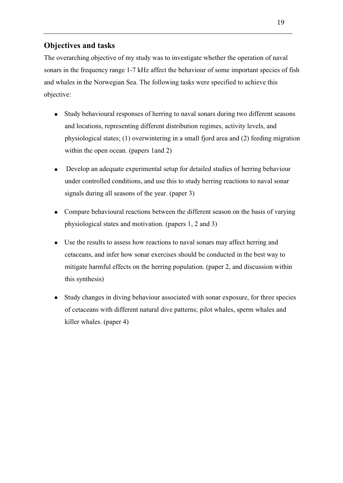### **Objectives and tasks**

The overarching objective of my study was to investigate whether the operation of naval sonars in the frequency range 1-7 kHz affect the behaviour of some important species of fish and whales in the Norwegian Sea. The following tasks were specified to achieve this objective:

- Study behavioural responses of herring to naval sonars during two different seasons and locations, representing different distribution regimes, activity levels, and physiological states; (1) overwintering in a small fjord area and (2) feeding migration within the open ocean. (papers 1and 2)
- Develop an adequate experimental setup for detailed studies of herring behaviour under controlled conditions, and use this to study herring reactions to naval sonar signals during all seasons of the year. (paper 3)
- Compare behavioural reactions between the different season on the basis of varying physiological states and motivation. (papers 1, 2 and 3)
- Use the results to assess how reactions to naval sonars may affect herring and cetaceans, and infer how sonar exercises should be conducted in the best way to mitigate harmful effects on the herring population. (paper 2, and discussion within this synthesis)
- Study changes in diving behaviour associated with sonar exposure, for three species of cetaceans with different natural dive patterns; pilot whales, sperm whales and killer whales. (paper 4)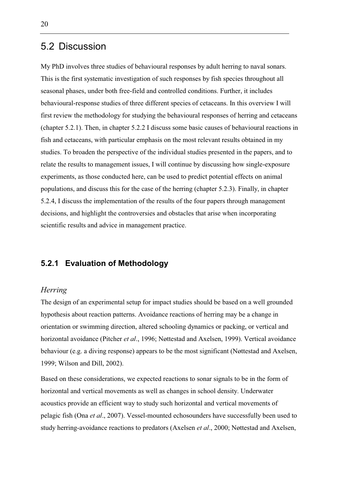### 5.2 Discussion

My PhD involves three studies of behavioural responses by adult herring to naval sonars. This is the first systematic investigation of such responses by fish species throughout all seasonal phases, under both free-field and controlled conditions. Further, it includes behavioural-response studies of three different species of cetaceans. In this overview I will first review the methodology for studying the behavioural responses of herring and cetaceans (chapter 5.2.1). Then, in chapter 5.2.2 I discuss some basic causes of behavioural reactions in fish and cetaceans, with particular emphasis on the most relevant results obtained in my studies. To broaden the perspective of the individual studies presented in the papers, and to relate the results to management issues, I will continue by discussing how single-exposure experiments, as those conducted here, can be used to predict potential effects on animal populations, and discuss this for the case of the herring (chapter 5.2.3). Finally, in chapter 5.2.4, I discuss the implementation of the results of the four papers through management decisions, and highlight the controversies and obstacles that arise when incorporating scientific results and advice in management practice.

### **5.2.1 Evaluation of Methodology**

#### *Herring*

The design of an experimental setup for impact studies should be based on a well grounded hypothesis about reaction patterns. Avoidance reactions of herring may be a change in orientation or swimming direction, altered schooling dynamics or packing, or vertical and horizontal avoidance (Pitcher *et al*., 1996; Nøttestad and Axelsen, 1999). Vertical avoidance behaviour (e.g. a diving response) appears to be the most significant (Nøttestad and Axelsen, 1999; Wilson and Dill, 2002).

Based on these considerations, we expected reactions to sonar signals to be in the form of horizontal and vertical movements as well as changes in school density. Underwater acoustics provide an efficient way to study such horizontal and vertical movements of pelagic fish (Ona *et al*., 2007). Vessel-mounted echosounders have successfully been used to study herring-avoidance reactions to predators (Axelsen *et al*., 2000; Nøttestad and Axelsen,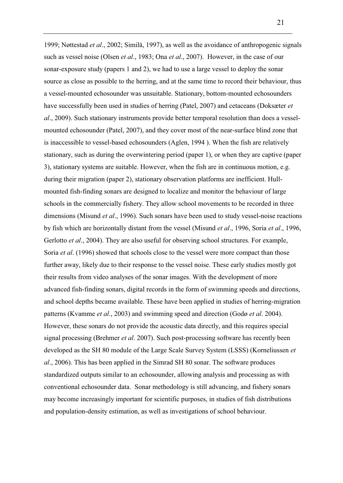1999; Nøttestad *et al*., 2002; Similä, 1997), as well as the avoidance of anthropogenic signals such as vessel noise (Olsen *et al*., 1983; Ona *et al*., 2007). However, in the case of our sonar-exposure study (papers 1 and 2), we had to use a large vessel to deploy the sonar source as close as possible to the herring, and at the same time to record their behaviour, thus a vessel-mounted echosounder was unsuitable. Stationary, bottom-mounted echosounders have successfully been used in studies of herring (Patel, 2007) and cetaceans (Doksæter *et al*., 2009). Such stationary instruments provide better temporal resolution than does a vesselmounted echosounder (Patel, 2007), and they cover most of the near-surface blind zone that is inaccessible to vessel-based echosounders (Aglen, 1994 ). When the fish are relatively stationary, such as during the overwintering period (paper 1), or when they are captive (paper 3), stationary systems are suitable. However, when the fish are in continuous motion, e.g. during their migration (paper 2), stationary observation platforms are inefficient. Hullmounted fish-finding sonars are designed to localize and monitor the behaviour of large schools in the commercially fishery. They allow school movements to be recorded in three dimensions (Misund *et al*., 1996). Such sonars have been used to study vessel-noise reactions by fish which are horizontally distant from the vessel (Misund *et al*., 1996, Soria *et al*., 1996, Gerlotto *et al*., 2004). They are also useful for observing school structures. For example, Soria *et al*. (1996) showed that schools close to the vessel were more compact than those further away, likely due to their response to the vessel noise. These early studies mostly got their results from video analyses of the sonar images. With the development of more advanced fish-finding sonars, digital records in the form of swimming speeds and directions, and school depths became available. These have been applied in studies of herring-migration patterns (Kvamme *et al*., 2003) and swimming speed and direction (Godø *et al*. 2004). However, these sonars do not provide the acoustic data directly, and this requires special signal processing (Brehmer *et al*. 2007). Such post-processing software has recently been developed as the SH 80 module of the Large Scale Survey System (LSSS) (Korneliussen *et al*., 2006). This has been applied in the Simrad SH 80 sonar. The software produces standardized outputs similar to an echosounder, allowing analysis and processing as with conventional echosounder data. Sonar methodology is still advancing, and fishery sonars may become increasingly important for scientific purposes, in studies of fish distributions and population-density estimation, as well as investigations of school behaviour.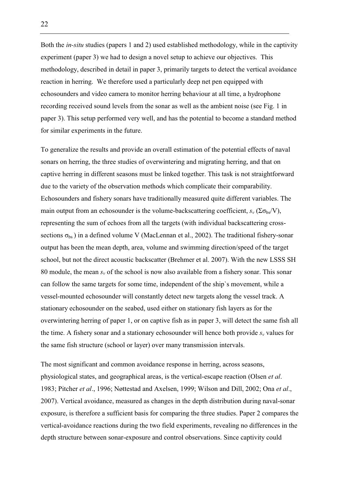Both the *in-situ* studies (papers 1 and 2) used established methodology, while in the captivity experiment (paper 3) we had to design a novel setup to achieve our objectives. This methodology, described in detail in paper 3, primarily targets to detect the vertical avoidance reaction in herring. We therefore used a particularly deep net pen equipped with echosounders and video camera to monitor herring behaviour at all time, a hydrophone recording received sound levels from the sonar as well as the ambient noise (see Fig. 1 in paper 3). This setup performed very well, and has the potential to become a standard method for similar experiments in the future.

To generalize the results and provide an overall estimation of the potential effects of naval sonars on herring, the three studies of overwintering and migrating herring, and that on captive herring in different seasons must be linked together. This task is not straightforward due to the variety of the observation methods which complicate their comparability. Echosounders and fishery sonars have traditionally measured quite different variables. The main output from an echosounder is the volume-backscattering coefficient,  $s_v$  ( $\Sigma \sigma_{bs}/V$ ), representing the sum of echoes from all the targets (with individual backscattering crosssections  $\sigma_{bs}$ ) in a defined volume V (MacLennan et al., 2002). The traditional fishery-sonar output has been the mean depth, area, volume and swimming direction/speed of the target school, but not the direct acoustic backscatter (Brehmer et al. 2007). With the new LSSS SH 80 module, the mean  $s_y$  of the school is now also available from a fishery sonar. This sonar can follow the same targets for some time, independent of the ship`s movement, while a vessel-mounted echosounder will constantly detect new targets along the vessel track. A stationary echosounder on the seabed, used either on stationary fish layers as for the overwintering herring of paper 1, or on captive fish as in paper 3, will detect the same fish all the time. A fishery sonar and a stationary echosounder will hence both provide  $s_y$  values for the same fish structure (school or layer) over many transmission intervals.

The most significant and common avoidance response in herring, across seasons, physiological states, and geographical areas, is the vertical-escape reaction (Olsen *et al*. 1983; Pitcher *et al*., 1996; Nøttestad and Axelsen, 1999; Wilson and Dill, 2002; Ona *et al*., 2007). Vertical avoidance, measured as changes in the depth distribution during naval-sonar exposure, is therefore a sufficient basis for comparing the three studies. Paper 2 compares the vertical-avoidance reactions during the two field experiments, revealing no differences in the depth structure between sonar-exposure and control observations. Since captivity could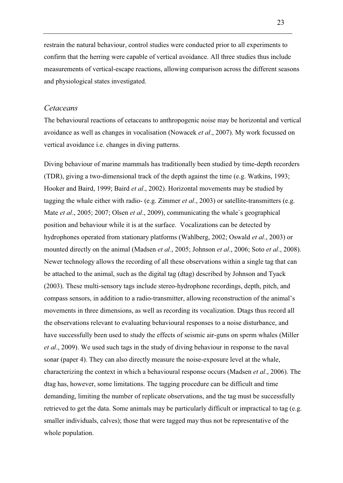restrain the natural behaviour, control studies were conducted prior to all experiments to confirm that the herring were capable of vertical avoidance. All three studies thus include measurements of vertical-escape reactions, allowing comparison across the different seasons and physiological states investigated.

#### *Cetaceans*

The behavioural reactions of cetaceans to anthropogenic noise may be horizontal and vertical avoidance as well as changes in vocalisation (Nowacek *et al*., 2007). My work focussed on vertical avoidance i.e. changes in diving patterns.

Diving behaviour of marine mammals has traditionally been studied by time-depth recorders (TDR), giving a two-dimensional track of the depth against the time (e.g. Watkins, 1993; Hooker and Baird, 1999; Baird *et al*., 2002). Horizontal movements may be studied by tagging the whale either with radio- (e.g. Zimmer *et al*., 2003) or satellite-transmitters (e.g. Mate *et al*., 2005; 2007; Olsen *et al*., 2009), communicating the whale`s geographical position and behaviour while it is at the surface. Vocalizations can be detected by hydrophones operated from stationary platforms (Wahlberg, 2002; Oswald *et al*., 2003) or mounted directly on the animal (Madsen *et al*., 2005; Johnson *et al*., 2006; Soto *et al*., 2008). Newer technology allows the recording of all these observations within a single tag that can be attached to the animal, such as the digital tag (dtag) described by Johnson and Tyack (2003). These multi-sensory tags include stereo-hydrophone recordings, depth, pitch, and compass sensors, in addition to a radio-transmitter, allowing reconstruction of the animal's movements in three dimensions, as well as recording its vocalization. Dtags thus record all the observations relevant to evaluating behavioural responses to a noise disturbance, and have successfully been used to study the effects of seismic air-guns on sperm whales (Miller *et al*., 2009). We used such tags in the study of diving behaviour in response to the naval sonar (paper 4). They can also directly measure the noise-exposure level at the whale, characterizing the context in which a behavioural response occurs (Madsen *et al*., 2006). The dtag has, however, some limitations. The tagging procedure can be difficult and time demanding, limiting the number of replicate observations, and the tag must be successfully retrieved to get the data. Some animals may be particularly difficult or impractical to tag (e.g. smaller individuals, calves); those that were tagged may thus not be representative of the whole population.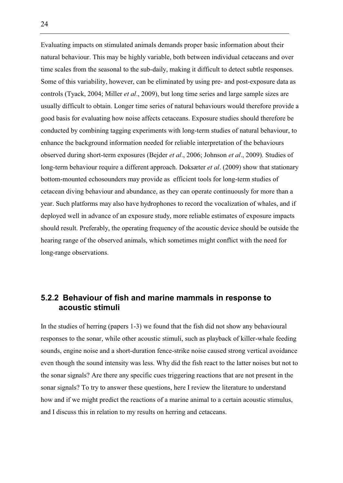Evaluating impacts on stimulated animals demands proper basic information about their natural behaviour. This may be highly variable, both between individual cetaceans and over time scales from the seasonal to the sub-daily, making it difficult to detect subtle responses. Some of this variability, however, can be eliminated by using pre- and post-exposure data as controls (Tyack, 2004; Miller *et al*., 2009), but long time series and large sample sizes are usually difficult to obtain. Longer time series of natural behaviours would therefore provide a good basis for evaluating how noise affects cetaceans. Exposure studies should therefore be conducted by combining tagging experiments with long-term studies of natural behaviour, to enhance the background information needed for reliable interpretation of the behaviours observed during short-term exposures (Bejder *et al*., 2006; Johnson *et al*., 2009). Studies of long-term behaviour require a different approach. Doksæter *et al*. (2009) show that stationary bottom-mounted echosounders may provide as efficient tools for long-term studies of cetacean diving behaviour and abundance, as they can operate continuously for more than a year. Such platforms may also have hydrophones to record the vocalization of whales, and if deployed well in advance of an exposure study, more reliable estimates of exposure impacts should result. Preferably, the operating frequency of the acoustic device should be outside the hearing range of the observed animals, which sometimes might conflict with the need for long-range observations.

### **5.2.2 Behaviour of fish and marine mammals in response to acoustic stimuli**

In the studies of herring (papers 1-3) we found that the fish did not show any behavioural responses to the sonar, while other acoustic stimuli, such as playback of killer-whale feeding sounds, engine noise and a short-duration fence-strike noise caused strong vertical avoidance even though the sound intensity was less. Why did the fish react to the latter noises but not to the sonar signals? Are there any specific cues triggering reactions that are not present in the sonar signals? To try to answer these questions, here I review the literature to understand how and if we might predict the reactions of a marine animal to a certain acoustic stimulus, and I discuss this in relation to my results on herring and cetaceans.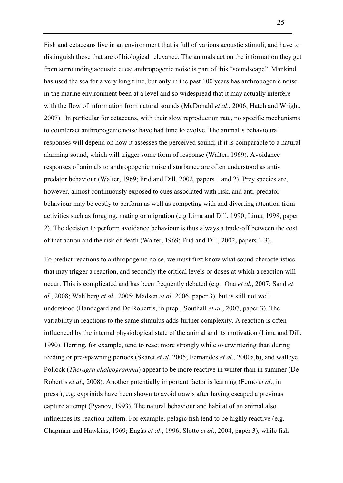Fish and cetaceans live in an environment that is full of various acoustic stimuli, and have to distinguish those that are of biological relevance. The animals act on the information they get from surrounding acoustic cues; anthropogenic noise is part of this "soundscape". Mankind has used the sea for a very long time, but only in the past 100 years has anthropogenic noise in the marine environment been at a level and so widespread that it may actually interfere with the flow of information from natural sounds (McDonald *et al*., 2006; Hatch and Wright, 2007). In particular for cetaceans, with their slow reproduction rate, no specific mechanisms to counteract anthropogenic noise have had time to evolve. The animal's behavioural responses will depend on how it assesses the perceived sound; if it is comparable to a natural alarming sound, which will trigger some form of response (Walter, 1969). Avoidance responses of animals to anthropogenic noise disturbance are often understood as antipredator behaviour (Walter, 1969; Frid and Dill, 2002, papers 1 and 2). Prey species are, however, almost continuously exposed to cues associated with risk, and anti-predator behaviour may be costly to perform as well as competing with and diverting attention from activities such as foraging, mating or migration (e.g Lima and Dill, 1990; Lima, 1998, paper 2). The decision to perform avoidance behaviour is thus always a trade-off between the cost of that action and the risk of death (Walter, 1969; Frid and Dill, 2002, papers 1-3).

To predict reactions to anthropogenic noise, we must first know what sound characteristics that may trigger a reaction, and secondly the critical levels or doses at which a reaction will occur. This is complicated and has been frequently debated (e.g. Ona *et al*., 2007; Sand *et al*., 2008; Wahlberg *et al*., 2005; Madsen *et al*. 2006, paper 3), but is still not well understood (Handegard and De Robertis, in prep.; Southall *et al*., 2007, paper 3). The variability in reactions to the same stimulus adds further complexity. A reaction is often influenced by the internal physiological state of the animal and its motivation (Lima and Dill, 1990). Herring, for example, tend to react more strongly while overwintering than during feeding or pre-spawning periods (Skaret *et al*. 2005; Fernandes *et al*., 2000a,b), and walleye Pollock (*Theragra chalcogramma*) appear to be more reactive in winter than in summer (De Robertis *et al*., 2008). Another potentially important factor is learning (Fernö *et al*., in press.), e.g. cyprinids have been shown to avoid trawls after having escaped a previous capture attempt (Pyanov, 1993). The natural behaviour and habitat of an animal also influences its reaction pattern. For example, pelagic fish tend to be highly reactive (e.g. Chapman and Hawkins, 1969; Engås *et al*., 1996; Slotte *et al*., 2004, paper 3), while fish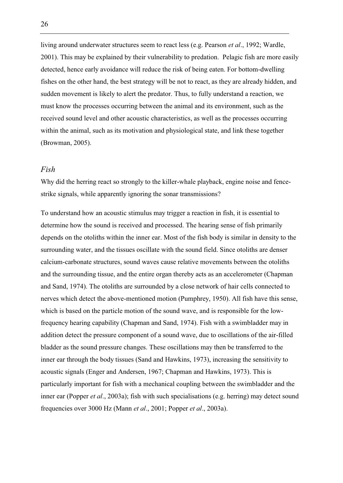living around underwater structures seem to react less (e.g. Pearson *et al*., 1992; Wardle, 2001). This may be explained by their vulnerability to predation. Pelagic fish are more easily detected, hence early avoidance will reduce the risk of being eaten. For bottom-dwelling fishes on the other hand, the best strategy will be not to react, as they are already hidden, and sudden movement is likely to alert the predator. Thus, to fully understand a reaction, we must know the processes occurring between the animal and its environment, such as the received sound level and other acoustic characteristics, as well as the processes occurring within the animal, such as its motivation and physiological state, and link these together (Browman, 2005).

#### *Fish*

Why did the herring react so strongly to the killer-whale playback, engine noise and fencestrike signals, while apparently ignoring the sonar transmissions?

To understand how an acoustic stimulus may trigger a reaction in fish, it is essential to determine how the sound is received and processed. The hearing sense of fish primarily depends on the otoliths within the inner ear. Most of the fish body is similar in density to the surrounding water, and the tissues oscillate with the sound field. Since otoliths are denser calcium-carbonate structures, sound waves cause relative movements between the otoliths and the surrounding tissue, and the entire organ thereby acts as an accelerometer (Chapman and Sand, 1974). The otoliths are surrounded by a close network of hair cells connected to nerves which detect the above-mentioned motion (Pumphrey, 1950). All fish have this sense, which is based on the particle motion of the sound wave, and is responsible for the lowfrequency hearing capability (Chapman and Sand, 1974). Fish with a swimbladder may in addition detect the pressure component of a sound wave, due to oscillations of the air-filled bladder as the sound pressure changes. These oscillations may then be transferred to the inner ear through the body tissues (Sand and Hawkins, 1973), increasing the sensitivity to acoustic signals (Enger and Andersen, 1967; Chapman and Hawkins, 1973). This is particularly important for fish with a mechanical coupling between the swimbladder and the inner ear (Popper *et al*., 2003a); fish with such specialisations (e.g. herring) may detect sound frequencies over 3000 Hz (Mann *et al*., 2001; Popper *et al*., 2003a).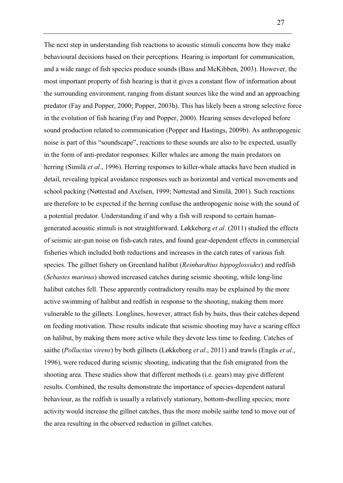The next step in understanding fish reactions to acoustic stimuli concerns how they make behavioural decisions based on their perceptions. Hearing is important for communication, and a wide range of fish species produce sounds (Bass and McKibben, 2003). However, the most important property of fish hearing is that it gives a constant flow of information about the surrounding environment, ranging from distant sources like the wind and an approaching predator (Fay and Popper, 2000; Popper, 2003b). This has likely been a strong selective force in the evolution of fish hearing (Fay and Popper, 2000). Hearing senses developed before sound production related to communication (Popper and Hastings, 2009b). As anthropogenic noise is part of this "soundscape", reactions to these sounds are also to be expected, usually in the form of anti-predator responses. Killer whales are among the main predators on herring (Similä *et al*., 1996). Herring responses to killer-whale attacks have been studied in detail, revealing typical avoidance responses such as horizontal and vertical movements and school packing (Nøttestad and Axelsen, 1999; Nøttestad and Similä, 2001). Such reactions are therefore to be expected if the herring confuse the anthropogenic noise with the sound of a potential predator. Understanding if and why a fish will respond to certain humangenerated acoustic stimuli is not straightforward. Løkkeborg *et al*. (2011) studied the effects of seismic air-gun noise on fish-catch rates, and found gear-dependent effects in commercial fisheries which included both reductions and increases in the catch rates of various fish species. The gillnet fishery on Greenland halibut (*Reinhardtius hippoglossides*) and redfish (*Sebastes marinus*) showed increased catches during seismic shooting, while long-line halibut catches fell. These apparently contradictory results may be explained by the more active swimming of halibut and redfish in response to the shooting, making them more vulnerable to the gillnets. Longlines, however, attract fish by baits, thus their catches depend on feeding motivation. These results indicate that seismic shooting may have a scaring effect on halibut, by making them more active while they devote less time to feeding. Catches of saithe (*Pollactius virens*) by both gillnets (Løkkeborg *et al*., 2011) and trawls (Engås *et al*., 1996), were reduced during seismic shooting, indicating that the fish emigrated from the shooting area. These studies show that different methods (i.e. gears) may give different results. Combined, the results demonstrate the importance of species-dependent natural behaviour, as the redfish is usually a relatively stationary, bottom-dwelling species; more activity would increase the gillnet catches, thus the more mobile saithe tend to move out of the area resulting in the observed reduction in gillnet catches.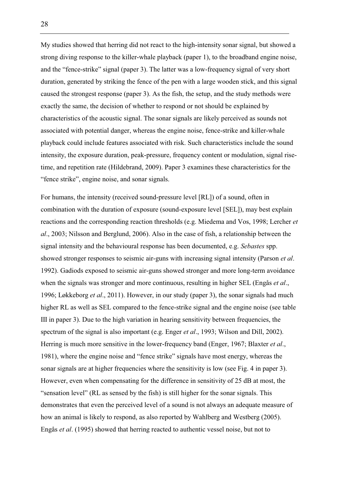My studies showed that herring did not react to the high-intensity sonar signal, but showed a strong diving response to the killer-whale playback (paper 1), to the broadband engine noise, and the "fence-strike" signal (paper 3). The latter was a low-frequency signal of very short duration, generated by striking the fence of the pen with a large wooden stick, and this signal caused the strongest response (paper 3). As the fish, the setup, and the study methods were exactly the same, the decision of whether to respond or not should be explained by characteristics of the acoustic signal. The sonar signals are likely perceived as sounds not associated with potential danger, whereas the engine noise, fence-strike and killer-whale playback could include features associated with risk. Such characteristics include the sound intensity, the exposure duration, peak-pressure, frequency content or modulation, signal risetime, and repetition rate (Hildebrand, 2009). Paper 3 examines these characteristics for the "fence strike", engine noise, and sonar signals.

For humans, the intensity (received sound-pressure level [RL]) of a sound, often in combination with the duration of exposure (sound-exposure level [SEL]), may best explain reactions and the corresponding reaction thresholds (e.g. Miedema and Vos, 1998; Lercher *et al*., 2003; Nilsson and Berglund, 2006). Also in the case of fish, a relationship between the signal intensity and the behavioural response has been documented, e.g. *Sebastes* spp. showed stronger responses to seismic air-guns with increasing signal intensity (Parson *et al*. 1992). Gadiods exposed to seismic air-guns showed stronger and more long-term avoidance when the signals was stronger and more continuous, resulting in higher SEL (Engås *et al*., 1996; Løkkeborg *et al*., 2011). However, in our study (paper 3), the sonar signals had much higher RL as well as SEL compared to the fence-strike signal and the engine noise (see table III in paper 3). Due to the high variation in hearing sensitivity between frequencies, the spectrum of the signal is also important (e.g. Enger *et al*., 1993; Wilson and Dill, 2002). Herring is much more sensitive in the lower-frequency band (Enger, 1967; Blaxter *et al*., 1981), where the engine noise and "fence strike" signals have most energy, whereas the sonar signals are at higher frequencies where the sensitivity is low (see Fig. 4 in paper 3). However, even when compensating for the difference in sensitivity of 25 dB at most, the "sensation level" (RL as sensed by the fish) is still higher for the sonar signals. This demonstrates that even the perceived level of a sound is not always an adequate measure of how an animal is likely to respond, as also reported by Wahlberg and Westberg (2005). Engås *et al*. (1995) showed that herring reacted to authentic vessel noise, but not to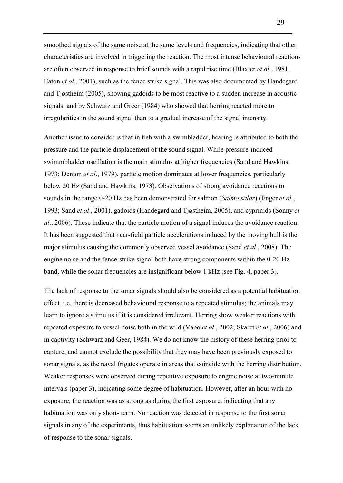smoothed signals of the same noise at the same levels and frequencies, indicating that other characteristics are involved in triggering the reaction. The most intense behavioural reactions are often observed in response to brief sounds with a rapid rise time (Blaxter *et al*., 1981, Eaton *et al*., 2001), such as the fence strike signal. This was also documented by Handegard and Tjøstheim (2005), showing gadoids to be most reactive to a sudden increase in acoustic signals, and by Schwarz and Greer (1984) who showed that herring reacted more to irregularities in the sound signal than to a gradual increase of the signal intensity.

Another issue to consider is that in fish with a swimbladder, hearing is attributed to both the pressure and the particle displacement of the sound signal. While pressure-induced swimmbladder oscillation is the main stimulus at higher frequencies (Sand and Hawkins, 1973; Denton *et al*., 1979), particle motion dominates at lower frequencies, particularly below 20 Hz (Sand and Hawkins, 1973). Observations of strong avoidance reactions to sounds in the range 0-20 Hz has been demonstrated for salmon (*Salmo salar*) (Enger *et al*., 1993; Sand *et al*., 2001), gadoids (Handegard and Tjøstheim, 2005), and cyprinids (Sonny *et al*., 2006). These indicate that the particle motion of a signal induces the avoidance reaction. It has been suggested that near-field particle accelerations induced by the moving hull is the major stimulus causing the commonly observed vessel avoidance (Sand *et al*., 2008). The engine noise and the fence-strike signal both have strong components within the 0-20 Hz band, while the sonar frequencies are insignificant below 1 kHz (see Fig. 4, paper 3).

The lack of response to the sonar signals should also be considered as a potential habituation effect, i.e. there is decreased behavioural response to a repeated stimulus; the animals may learn to ignore a stimulus if it is considered irrelevant. Herring show weaker reactions with repeated exposure to vessel noise both in the wild (Vabø *et al*., 2002; Skaret *et al*., 2006) and in captivity (Schwarz and Geer, 1984). We do not know the history of these herring prior to capture, and cannot exclude the possibility that they may have been previously exposed to sonar signals, as the naval frigates operate in areas that coincide with the herring distribution. Weaker responses were observed during repetitive exposure to engine noise at two-minute intervals (paper 3), indicating some degree of habituation. However, after an hour with no exposure, the reaction was as strong as during the first exposure, indicating that any habituation was only short- term. No reaction was detected in response to the first sonar signals in any of the experiments, thus habituation seems an unlikely explanation of the lack of response to the sonar signals.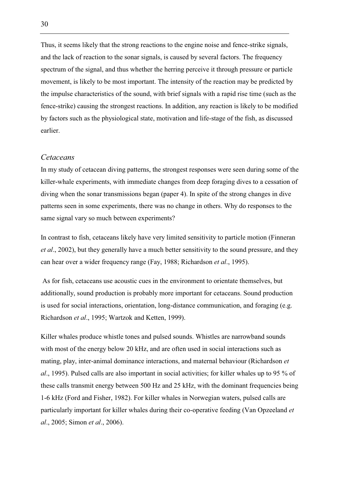Thus, it seems likely that the strong reactions to the engine noise and fence-strike signals, and the lack of reaction to the sonar signals, is caused by several factors. The frequency spectrum of the signal, and thus whether the herring perceive it through pressure or particle movement, is likely to be most important. The intensity of the reaction may be predicted by the impulse characteristics of the sound, with brief signals with a rapid rise time (such as the fence-strike) causing the strongest reactions. In addition, any reaction is likely to be modified by factors such as the physiological state, motivation and life-stage of the fish, as discussed earlier.

#### *Cetaceans*

In my study of cetacean diving patterns, the strongest responses were seen during some of the killer-whale experiments, with immediate changes from deep foraging dives to a cessation of diving when the sonar transmissions began (paper 4). In spite of the strong changes in dive patterns seen in some experiments, there was no change in others. Why do responses to the same signal vary so much between experiments?

In contrast to fish, cetaceans likely have very limited sensitivity to particle motion (Finneran *et al*., 2002), but they generally have a much better sensitivity to the sound pressure, and they can hear over a wider frequency range (Fay, 1988; Richardson *et al*., 1995).

 As for fish, cetaceans use acoustic cues in the environment to orientate themselves, but additionally, sound production is probably more important for cetaceans. Sound production is used for social interactions, orientation, long-distance communication, and foraging (e.g. Richardson *et al*., 1995; Wartzok and Ketten, 1999).

Killer whales produce whistle tones and pulsed sounds. Whistles are narrowband sounds with most of the energy below 20 kHz, and are often used in social interactions such as mating, play, inter-animal dominance interactions, and maternal behaviour (Richardson *et al*., 1995). Pulsed calls are also important in social activities; for killer whales up to 95 % of these calls transmit energy between 500 Hz and 25 kHz, with the dominant frequencies being 1-6 kHz (Ford and Fisher, 1982). For killer whales in Norwegian waters, pulsed calls are particularly important for killer whales during their co-operative feeding (Van Opzeeland *et al*., 2005; Simon *et al*., 2006).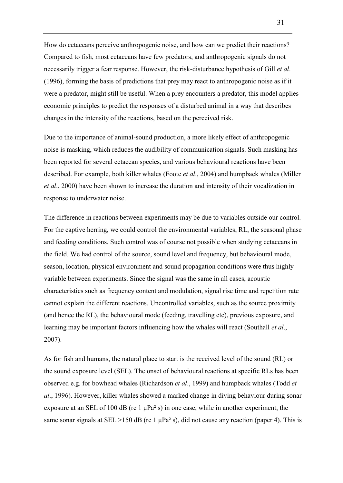How do cetaceans perceive anthropogenic noise, and how can we predict their reactions? Compared to fish, most cetaceans have few predators, and anthropogenic signals do not necessarily trigger a fear response. However, the risk-disturbance hypothesis of Gill *et al*. (1996), forming the basis of predictions that prey may react to anthropogenic noise as if it were a predator, might still be useful. When a prey encounters a predator, this model applies economic principles to predict the responses of a disturbed animal in a way that describes changes in the intensity of the reactions, based on the perceived risk.

Due to the importance of animal-sound production, a more likely effect of anthropogenic noise is masking, which reduces the audibility of communication signals. Such masking has been reported for several cetacean species, and various behavioural reactions have been described. For example, both killer whales (Foote *et al*., 2004) and humpback whales (Miller *et al*., 2000) have been shown to increase the duration and intensity of their vocalization in response to underwater noise.

The difference in reactions between experiments may be due to variables outside our control. For the captive herring, we could control the environmental variables, RL, the seasonal phase and feeding conditions. Such control was of course not possible when studying cetaceans in the field. We had control of the source, sound level and frequency, but behavioural mode, season, location, physical environment and sound propagation conditions were thus highly variable between experiments. Since the signal was the same in all cases, acoustic characteristics such as frequency content and modulation, signal rise time and repetition rate cannot explain the different reactions. Uncontrolled variables, such as the source proximity (and hence the RL), the behavioural mode (feeding, travelling etc), previous exposure, and learning may be important factors influencing how the whales will react (Southall *et al*., 2007).

As for fish and humans, the natural place to start is the received level of the sound (RL) or the sound exposure level (SEL). The onset of behavioural reactions at specific RLs has been observed e.g. for bowhead whales (Richardson *et al*., 1999) and humpback whales (Todd *et al*., 1996). However, killer whales showed a marked change in diving behaviour during sonar exposure at an SEL of 100 dB (re 1  $\mu$ Pa<sup>2</sup> s) in one case, while in another experiment, the same sonar signals at SEL >150 dB (re 1  $\mu$ Pa<sup>2</sup> s), did not cause any reaction (paper 4). This is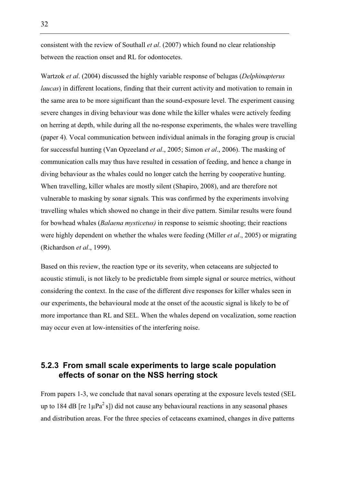consistent with the review of Southall *et al*. (2007) which found no clear relationship between the reaction onset and RL for odontocetes.

Wartzok *et al*. (2004) discussed the highly variable response of belugas (*Delphinapterus laucas*) in different locations, finding that their current activity and motivation to remain in the same area to be more significant than the sound-exposure level. The experiment causing severe changes in diving behaviour was done while the killer whales were actively feeding on herring at depth, while during all the no-response experiments, the whales were travelling (paper 4). Vocal communication between individual animals in the foraging group is crucial for successful hunting (Van Opzeeland *et al*., 2005; Simon *et al*., 2006). The masking of communication calls may thus have resulted in cessation of feeding, and hence a change in diving behaviour as the whales could no longer catch the herring by cooperative hunting. When travelling, killer whales are mostly silent (Shapiro, 2008), and are therefore not vulnerable to masking by sonar signals. This was confirmed by the experiments involving travelling whales which showed no change in their dive pattern. Similar results were found for bowhead whales (*Balaena mysticetus)* in response to seismic shooting; their reactions were highly dependent on whether the whales were feeding (Miller *et al*., 2005) or migrating (Richardson *et al*., 1999).

Based on this review, the reaction type or its severity, when cetaceans are subjected to acoustic stimuli, is not likely to be predictable from simple signal or source metrics, without considering the context. In the case of the different dive responses for killer whales seen in our experiments, the behavioural mode at the onset of the acoustic signal is likely to be of more importance than RL and SEL. When the whales depend on vocalization, some reaction may occur even at low-intensities of the interfering noise.

### **5.2.3 From small scale experiments to large scale population effects of sonar on the NSS herring stock**

From papers 1-3, we conclude that naval sonars operating at the exposure levels tested (SEL up to 184 dB [re  $1\mu\text{Pa}^2$  s]) did not cause any behavioural reactions in any seasonal phases and distribution areas. For the three species of cetaceans examined, changes in dive patterns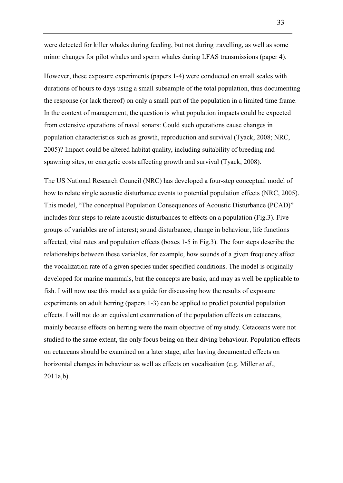were detected for killer whales during feeding, but not during travelling, as well as some minor changes for pilot whales and sperm whales during LFAS transmissions (paper 4).

However, these exposure experiments (papers 1-4) were conducted on small scales with durations of hours to days using a small subsample of the total population, thus documenting the response (or lack thereof) on only a small part of the population in a limited time frame. In the context of management, the question is what population impacts could be expected from extensive operations of naval sonars: Could such operations cause changes in population characteristics such as growth, reproduction and survival (Tyack, 2008; NRC, 2005)? Impact could be altered habitat quality, including suitability of breeding and spawning sites, or energetic costs affecting growth and survival (Tyack, 2008).

The US National Research Council (NRC) has developed a four-step conceptual model of how to relate single acoustic disturbance events to potential population effects (NRC, 2005). This model, "The conceptual Population Consequences of Acoustic Disturbance (PCAD)" includes four steps to relate acoustic disturbances to effects on a population (Fig.3). Five groups of variables are of interest; sound disturbance, change in behaviour, life functions affected, vital rates and population effects (boxes 1-5 in Fig.3). The four steps describe the relationships between these variables, for example, how sounds of a given frequency affect the vocalization rate of a given species under specified conditions. The model is originally developed for marine mammals, but the concepts are basic, and may as well be applicable to fish. I will now use this model as a guide for discussing how the results of exposure experiments on adult herring (papers 1-3) can be applied to predict potential population effects. I will not do an equivalent examination of the population effects on cetaceans, mainly because effects on herring were the main objective of my study. Cetaceans were not studied to the same extent, the only focus being on their diving behaviour. Population effects on cetaceans should be examined on a later stage, after having documented effects on horizontal changes in behaviour as well as effects on vocalisation (e.g. Miller *et al*., 2011a,b).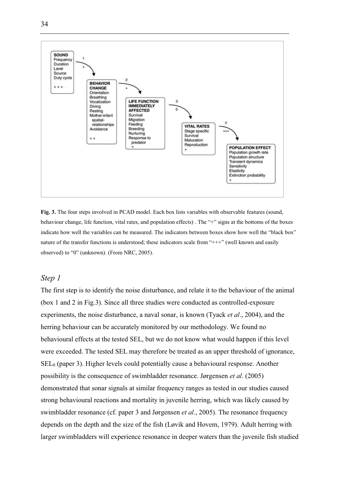

**Fig. 3.** The four steps involved in PCAD model. Each box lists variables with observable features (sound, behaviour change, life function, vital rates, and population effects) . The "+" signs at the bottoms of the boxes indicate how well the variables can be measured. The indicators between boxes show how well the "black box" nature of the transfer functions is understood; these indicators scale from "+++" (well known and easily observed) to "0" (unknown). (From NRC, 2005).

#### *Step 1*

The first step is to identify the noise disturbance, and relate it to the behaviour of the animal (box 1 and 2 in Fig.3). Since all three studies were conducted as controlled-exposure experiments, the noise disturbance, a naval sonar, is known (Tyack *et al*., 2004), and the herring behaviour can be accurately monitored by our methodology. We found no behavioural effects at the tested SEL, but we do not know what would happen if this level were exceeded. The tested SEL may therefore be treated as an upper threshold of ignorance,  $SEL<sub>0</sub>$  (paper 3). Higher levels could potentially cause a behavioural response. Another possibility is the consequence of swimbladder resonance. Jørgensen *et al*. (2005) demonstrated that sonar signals at similar frequency ranges as tested in our studies caused strong behavioural reactions and mortality in juvenile herring, which was likely caused by swimbladder resonance (cf. paper 3 and Jørgensen *et al*., 2005). The resonance frequency depends on the depth and the size of the fish (Løvik and Hovem, 1979). Adult herring with larger swimbladders will experience resonance in deeper waters than the juvenile fish studied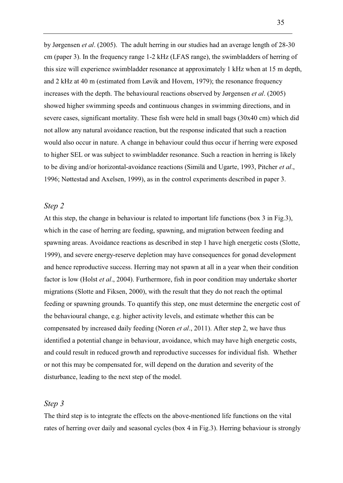by Jørgensen *et al*. (2005). The adult herring in our studies had an average length of 28-30 cm (paper 3). In the frequency range 1-2 kHz (LFAS range), the swimbladders of herring of this size will experience swimbladder resonance at approximately 1 kHz when at 15 m depth, and 2 kHz at 40 m (estimated from Løvik and Hovem, 1979); the resonance frequency increases with the depth. The behavioural reactions observed by Jørgensen *et al*. (2005) showed higher swimming speeds and continuous changes in swimming directions, and in severe cases, significant mortality. These fish were held in small bags (30x40 cm) which did not allow any natural avoidance reaction, but the response indicated that such a reaction would also occur in nature. A change in behaviour could thus occur if herring were exposed to higher SEL or was subject to swimbladder resonance. Such a reaction in herring is likely to be diving and/or horizontal-avoidance reactions (Similä and Ugarte, 1993, Pitcher *et al*., 1996; Nøttestad and Axelsen, 1999), as in the control experiments described in paper 3.

#### *Step 2*

At this step, the change in behaviour is related to important life functions (box 3 in Fig.3), which in the case of herring are feeding, spawning, and migration between feeding and spawning areas. Avoidance reactions as described in step 1 have high energetic costs (Slotte, 1999), and severe energy-reserve depletion may have consequences for gonad development and hence reproductive success. Herring may not spawn at all in a year when their condition factor is low (Holst *et al*., 2004). Furthermore, fish in poor condition may undertake shorter migrations (Slotte and Fiksen, 2000), with the result that they do not reach the optimal feeding or spawning grounds. To quantify this step, one must determine the energetic cost of the behavioural change, e.g. higher activity levels, and estimate whether this can be compensated by increased daily feeding (Noren *et al*., 2011). After step 2, we have thus identified a potential change in behaviour, avoidance, which may have high energetic costs, and could result in reduced growth and reproductive successes for individual fish. Whether or not this may be compensated for, will depend on the duration and severity of the disturbance, leading to the next step of the model.

#### *Step 3*

The third step is to integrate the effects on the above-mentioned life functions on the vital rates of herring over daily and seasonal cycles (box 4 in Fig.3). Herring behaviour is strongly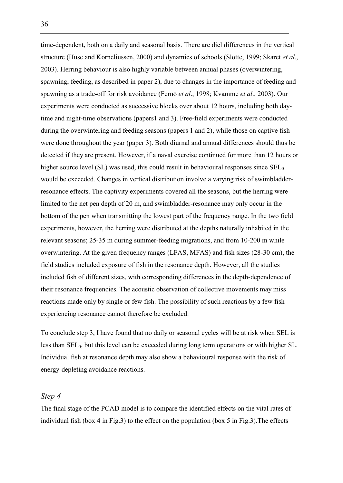time-dependent, both on a daily and seasonal basis. There are diel differences in the vertical structure (Huse and Korneliussen, 2000) and dynamics of schools (Slotte, 1999; Skaret *et al*., 2003). Herring behaviour is also highly variable between annual phases (overwintering, spawning, feeding, as described in paper 2), due to changes in the importance of feeding and spawning as a trade-off for risk avoidance (Fernö *et al*., 1998; Kvamme *et al*., 2003). Our experiments were conducted as successive blocks over about 12 hours, including both daytime and night-time observations (papers1 and 3). Free-field experiments were conducted during the overwintering and feeding seasons (papers 1 and 2), while those on captive fish were done throughout the year (paper 3). Both diurnal and annual differences should thus be detected if they are present. However, if a naval exercise continued for more than 12 hours or higher source level (SL) was used, this could result in behavioural responses since  $SEL_0$ would be exceeded. Changes in vertical distribution involve a varying risk of swimbladderresonance effects. The captivity experiments covered all the seasons, but the herring were limited to the net pen depth of 20 m, and swimbladder-resonance may only occur in the bottom of the pen when transmitting the lowest part of the frequency range. In the two field experiments, however, the herring were distributed at the depths naturally inhabited in the relevant seasons; 25-35 m during summer-feeding migrations, and from 10-200 m while overwintering. At the given frequency ranges (LFAS, MFAS) and fish sizes (28-30 cm), the field studies included exposure of fish in the resonance depth. However, all the studies included fish of different sizes, with corresponding differences in the depth-dependence of their resonance frequencies. The acoustic observation of collective movements may miss reactions made only by single or few fish. The possibility of such reactions by a few fish experiencing resonance cannot therefore be excluded.

To conclude step 3, I have found that no daily or seasonal cycles will be at risk when SEL is less than SEL0, but this level can be exceeded during long term operations or with higher SL. Individual fish at resonance depth may also show a behavioural response with the risk of energy-depleting avoidance reactions.

#### *Step 4*

The final stage of the PCAD model is to compare the identified effects on the vital rates of individual fish (box 4 in Fig.3) to the effect on the population (box 5 in Fig.3). The effects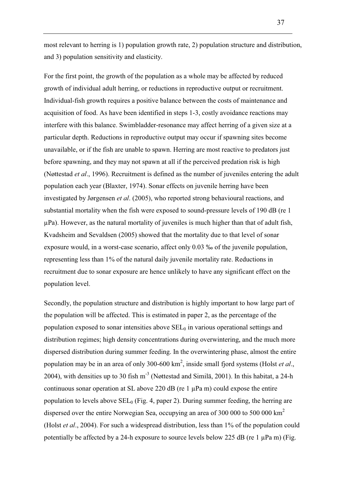most relevant to herring is 1) population growth rate, 2) population structure and distribution, and 3) population sensitivity and elasticity.

For the first point, the growth of the population as a whole may be affected by reduced growth of individual adult herring, or reductions in reproductive output or recruitment. Individual-fish growth requires a positive balance between the costs of maintenance and acquisition of food. As have been identified in steps 1-3, costly avoidance reactions may interfere with this balance. Swimbladder-resonance may affect herring of a given size at a particular depth. Reductions in reproductive output may occur if spawning sites become unavailable, or if the fish are unable to spawn. Herring are most reactive to predators just before spawning, and they may not spawn at all if the perceived predation risk is high (Nøttestad *et al*., 1996). Recruitment is defined as the number of juveniles entering the adult population each year (Blaxter, 1974). Sonar effects on juvenile herring have been investigated by Jørgensen *et al*. (2005), who reported strong behavioural reactions, and substantial mortality when the fish were exposed to sound-pressure levels of 190 dB (re 1 μPa). However, as the natural mortality of juveniles is much higher than that of adult fish, Kvadsheim and Sevaldsen (2005) showed that the mortality due to that level of sonar exposure would, in a worst-case scenario, affect only 0.03 ‰ of the juvenile population, representing less than 1% of the natural daily juvenile mortality rate. Reductions in recruitment due to sonar exposure are hence unlikely to have any significant effect on the population level.

Secondly, the population structure and distribution is highly important to how large part of the population will be affected. This is estimated in paper 2, as the percentage of the population exposed to sonar intensities above  $SEL<sub>0</sub>$  in various operational settings and distribution regimes; high density concentrations during overwintering, and the much more dispersed distribution during summer feeding. In the overwintering phase, almost the entire population may be in an area of only 300-600 km<sup>2</sup>, inside small fjord systems (Holst *et al.*, 2004), with densities up to 30 fish  $m^{-3}$  (Nøttestad and Similä, 2001). In this habitat, a 24-h continuous sonar operation at SL above 220 dB (re 1 μPa m) could expose the entire population to levels above  $SEL_0$  (Fig. 4, paper 2). During summer feeding, the herring are dispersed over the entire Norwegian Sea, occupying an area of 300 000 to 500 000  $km<sup>2</sup>$ (Holst *et al*., 2004). For such a widespread distribution, less than 1% of the population could potentially be affected by a 24-h exposure to source levels below 225 dB (re 1  $\mu$ Pa m) (Fig.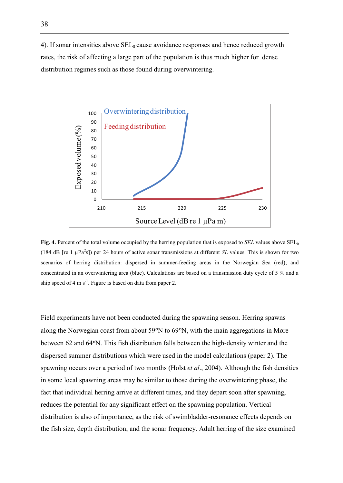4). If sonar intensities above  $SEL<sub>0</sub>$  cause avoidance responses and hence reduced growth rates, the risk of affecting a large part of the population is thus much higher for dense distribution regimes such as those found during overwintering.



**Fig. 4.** Percent of the total volume occupied by the herring population that is exposed to *SEL* values above SEL<sub>0</sub> (184 dB [re 1 µPa<sup>2</sup>s]) per 24 hours of active sonar transmissions at different *SL* values. This is shown for two scenarios of herring distribution: dispersed in summer-feeding areas in the Norwegian Sea (red); and concentrated in an overwintering area (blue). Calculations are based on a transmission duty cycle of 5 % and a ship speed of 4 m s<sup>-1</sup>. Figure is based on data from paper 2.

Field experiments have not been conducted during the spawning season. Herring spawns along the Norwegian coast from about  $59^{\circ}$ N to  $69^{\circ}$ N, with the main aggregations in Møre between 62 and 64 $\degree$ N. This fish distribution falls between the high-density winter and the dispersed summer distributions which were used in the model calculations (paper 2). The spawning occurs over a period of two months (Holst *et al*., 2004). Although the fish densities in some local spawning areas may be similar to those during the overwintering phase, the fact that individual herring arrive at different times, and they depart soon after spawning, reduces the potential for any significant effect on the spawning population. Vertical distribution is also of importance, as the risk of swimbladder-resonance effects depends on the fish size, depth distribution, and the sonar frequency. Adult herring of the size examined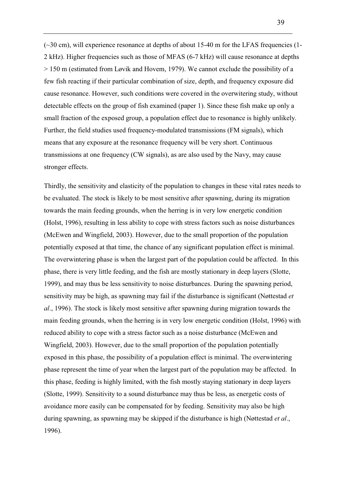$(\sim 30 \text{ cm})$ , will experience resonance at depths of about 15-40 m for the LFAS frequencies (1-2 kHz). Higher frequencies such as those of MFAS (6-7 kHz) will cause resonance at depths > 150 m (estimated from Løvik and Hovem, 1979). We cannot exclude the possibility of a few fish reacting if their particular combination of size, depth, and frequency exposure did cause resonance. However, such conditions were covered in the overwitering study, without detectable effects on the group of fish examined (paper 1). Since these fish make up only a small fraction of the exposed group, a population effect due to resonance is highly unlikely. Further, the field studies used frequency-modulated transmissions (FM signals), which means that any exposure at the resonance frequency will be very short. Continuous transmissions at one frequency (CW signals), as are also used by the Navy, may cause stronger effects.

Thirdly, the sensitivity and elasticity of the population to changes in these vital rates needs to be evaluated. The stock is likely to be most sensitive after spawning, during its migration towards the main feeding grounds, when the herring is in very low energetic condition (Holst, 1996), resulting in less ability to cope with stress factors such as noise disturbances (McEwen and Wingfield, 2003). However, due to the small proportion of the population potentially exposed at that time, the chance of any significant population effect is minimal. The overwintering phase is when the largest part of the population could be affected. In this phase, there is very little feeding, and the fish are mostly stationary in deep layers (Slotte, 1999), and may thus be less sensitivity to noise disturbances. During the spawning period, sensitivity may be high, as spawning may fail if the disturbance is significant (Nøttestad *et al*., 1996). The stock is likely most sensitive after spawning during migration towards the main feeding grounds, when the herring is in very low energetic condition (Holst, 1996) with reduced ability to cope with a stress factor such as a noise disturbance (McEwen and Wingfield, 2003). However, due to the small proportion of the population potentially exposed in this phase, the possibility of a population effect is minimal. The overwintering phase represent the time of year when the largest part of the population may be affected. In this phase, feeding is highly limited, with the fish mostly staying stationary in deep layers (Slotte, 1999). Sensitivity to a sound disturbance may thus be less, as energetic costs of avoidance more easily can be compensated for by feeding. Sensitivity may also be high during spawning, as spawning may be skipped if the disturbance is high (Nøttestad *et al*., 1996).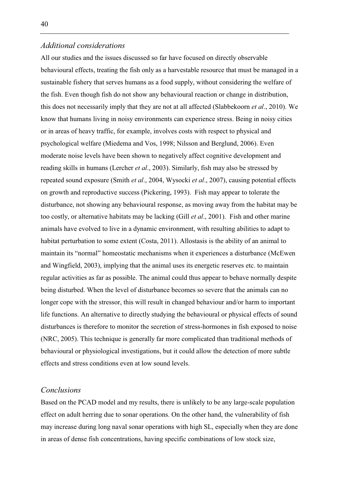### *Additional considerations*

All our studies and the issues discussed so far have focused on directly observable behavioural effects, treating the fish only as a harvestable resource that must be managed in a sustainable fishery that serves humans as a food supply, without considering the welfare of the fish. Even though fish do not show any behavioural reaction or change in distribution, this does not necessarily imply that they are not at all affected (Slabbekoorn *et al*., 2010). We know that humans living in noisy environments can experience stress. Being in noisy cities or in areas of heavy traffic, for example, involves costs with respect to physical and psychological welfare (Miedema and Vos, 1998; Nilsson and Berglund, 2006). Even moderate noise levels have been shown to negatively affect cognitive development and reading skills in humans (Lercher *et al*., 2003). Similarly, fish may also be stressed by repeated sound exposure (Smith *et al*., 2004, Wysocki *et al*., 2007), causing potential effects on growth and reproductive success (Pickering, 1993). Fish may appear to tolerate the disturbance, not showing any behavioural response, as moving away from the habitat may be too costly, or alternative habitats may be lacking (Gill *et al*., 2001). Fish and other marine animals have evolved to live in a dynamic environment, with resulting abilities to adapt to habitat perturbation to some extent (Costa, 2011). Allostasis is the ability of an animal to maintain its "normal" homeostatic mechanisms when it experiences a disturbance (McEwen and Wingfield, 2003), implying that the animal uses its energetic reserves etc. to maintain regular activities as far as possible. The animal could thus appear to behave normally despite being disturbed. When the level of disturbance becomes so severe that the animals can no longer cope with the stressor, this will result in changed behaviour and/or harm to important life functions. An alternative to directly studying the behavioural or physical effects of sound disturbances is therefore to monitor the secretion of stress-hormones in fish exposed to noise (NRC, 2005). This technique is generally far more complicated than traditional methods of behavioural or physiological investigations, but it could allow the detection of more subtle effects and stress conditions even at low sound levels.

#### *Conclusions*

Based on the PCAD model and my results, there is unlikely to be any large-scale population effect on adult herring due to sonar operations. On the other hand, the vulnerability of fish may increase during long naval sonar operations with high SL, especially when they are done in areas of dense fish concentrations, having specific combinations of low stock size,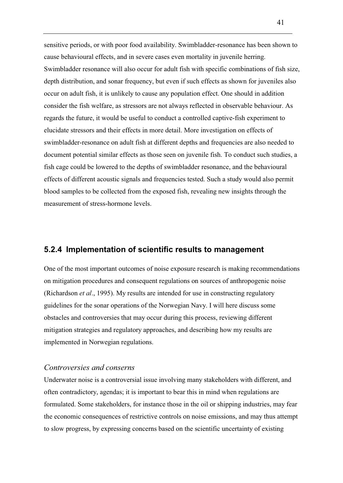sensitive periods, or with poor food availability. Swimbladder-resonance has been shown to cause behavioural effects, and in severe cases even mortality in juvenile herring. Swimbladder resonance will also occur for adult fish with specific combinations of fish size, depth distribution, and sonar frequency, but even if such effects as shown for juveniles also occur on adult fish, it is unlikely to cause any population effect. One should in addition consider the fish welfare, as stressors are not always reflected in observable behaviour. As regards the future, it would be useful to conduct a controlled captive-fish experiment to elucidate stressors and their effects in more detail. More investigation on effects of swimbladder-resonance on adult fish at different depths and frequencies are also needed to document potential similar effects as those seen on juvenile fish. To conduct such studies, a fish cage could be lowered to the depths of swimbladder resonance, and the behavioural effects of different acoustic signals and frequencies tested. Such a study would also permit blood samples to be collected from the exposed fish, revealing new insights through the measurement of stress-hormone levels.

#### **5.2.4 Implementation of scientific results to management**

One of the most important outcomes of noise exposure research is making recommendations on mitigation procedures and consequent regulations on sources of anthropogenic noise (Richardson *et al*., 1995). My results are intended for use in constructing regulatory guidelines for the sonar operations of the Norwegian Navy. I will here discuss some obstacles and controversies that may occur during this process, reviewing different mitigation strategies and regulatory approaches, and describing how my results are implemented in Norwegian regulations.

#### *Controversies and conserns*

Underwater noise is a controversial issue involving many stakeholders with different, and often contradictory, agendas; it is important to bear this in mind when regulations are formulated. Some stakeholders, for instance those in the oil or shipping industries, may fear the economic consequences of restrictive controls on noise emissions, and may thus attempt to slow progress, by expressing concerns based on the scientific uncertainty of existing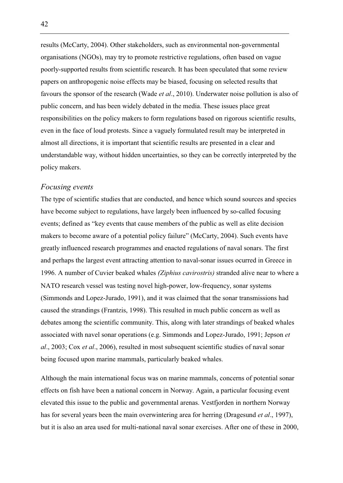results (McCarty, 2004). Other stakeholders, such as environmental non-governmental organisations (NGOs), may try to promote restrictive regulations, often based on vague poorly-supported results from scientific research. It has been speculated that some review papers on anthropogenic noise effects may be biased, focusing on selected results that favours the sponsor of the research (Wade *et al*., 2010). Underwater noise pollution is also of public concern, and has been widely debated in the media. These issues place great responsibilities on the policy makers to form regulations based on rigorous scientific results, even in the face of loud protests. Since a vaguely formulated result may be interpreted in almost all directions, it is important that scientific results are presented in a clear and understandable way, without hidden uncertainties, so they can be correctly interpreted by the policy makers.

#### *Focusing events*

The type of scientific studies that are conducted, and hence which sound sources and species have become subject to regulations, have largely been influenced by so-called focusing events; defined as "key events that cause members of the public as well as elite decision makers to become aware of a potential policy failure" (McCarty, 2004). Such events have greatly influenced research programmes and enacted regulations of naval sonars. The first and perhaps the largest event attracting attention to naval-sonar issues ocurred in Greece in 1996. A number of Cuvier beaked whales *(Ziphius cavirostris)* stranded alive near to where a NATO research vessel was testing novel high-power, low-frequency, sonar systems (Simmonds and Lopez-Jurado, 1991), and it was claimed that the sonar transmissions had caused the strandings (Frantzis, 1998). This resulted in much public concern as well as debates among the scientific community. This, along with later strandings of beaked whales associated with navel sonar operations (e.g. Simmonds and Lopez-Jurado, 1991; Jepson *et al*., 2003; Cox *et al*., 2006), resulted in most subsequent scientific studies of naval sonar being focused upon marine mammals, particularly beaked whales.

Although the main international focus was on marine mammals, concerns of potential sonar effects on fish have been a national concern in Norway. Again, a particular focusing event elevated this issue to the public and governmental arenas. Vestfjorden in northern Norway has for several years been the main overwintering area for herring (Dragesund *et al*., 1997), but it is also an area used for multi-national naval sonar exercises. After one of these in 2000,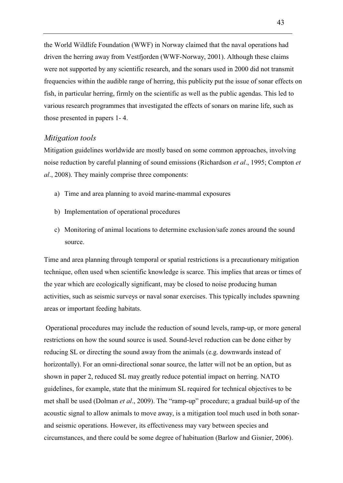the World Wildlife Foundation (WWF) in Norway claimed that the naval operations had driven the herring away from Vestfjorden (WWF-Norway, 2001). Although these claims were not supported by any scientific research, and the sonars used in 2000 did not transmit frequencies within the audible range of herring, this publicity put the issue of sonar effects on fish, in particular herring, firmly on the scientific as well as the public agendas. This led to various research programmes that investigated the effects of sonars on marine life, such as those presented in papers 1- 4.

#### *Mitigation tools*

Mitigation guidelines worldwide are mostly based on some common approaches, involving noise reduction by careful planning of sound emissions (Richardson *et al*., 1995; Compton *et al*., 2008). They mainly comprise three components:

- a) Time and area planning to avoid marine-mammal exposures
- b) Implementation of operational procedures
- c) Monitoring of animal locations to determine exclusion/safe zones around the sound source.

Time and area planning through temporal or spatial restrictions is a precautionary mitigation technique, often used when scientific knowledge is scarce. This implies that areas or times of the year which are ecologically significant, may be closed to noise producing human activities, such as seismic surveys or naval sonar exercises. This typically includes spawning areas or important feeding habitats.

 Operational procedures may include the reduction of sound levels, ramp-up, or more general restrictions on how the sound source is used. Sound-level reduction can be done either by reducing SL or directing the sound away from the animals (e.g. downwards instead of horizontally). For an omni-directional sonar source, the latter will not be an option, but as shown in paper 2, reduced SL may greatly reduce potential impact on herring. NATO guidelines, for example, state that the minimum SL required for technical objectives to be met shall be used (Dolman *et al*., 2009). The "ramp-up" procedure; a gradual build-up of the acoustic signal to allow animals to move away, is a mitigation tool much used in both sonarand seismic operations. However, its effectiveness may vary between species and circumstances, and there could be some degree of habituation (Barlow and Gisnier, 2006).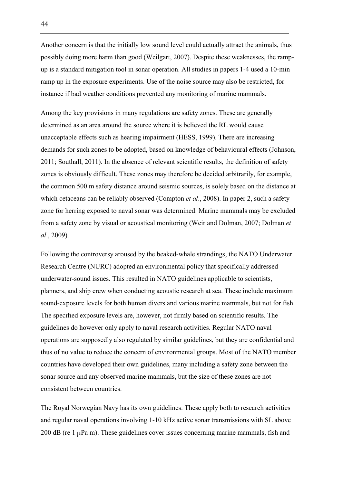Another concern is that the initially low sound level could actually attract the animals, thus possibly doing more harm than good (Weilgart, 2007). Despite these weaknesses, the rampup is a standard mitigation tool in sonar operation. All studies in papers 1-4 used a 10-min ramp up in the exposure experiments. Use of the noise source may also be restricted, for instance if bad weather conditions prevented any monitoring of marine mammals.

Among the key provisions in many regulations are safety zones. These are generally determined as an area around the source where it is believed the RL would cause unacceptable effects such as hearing impairment (HESS, 1999). There are increasing demands for such zones to be adopted, based on knowledge of behavioural effects (Johnson, 2011; Southall, 2011). In the absence of relevant scientific results, the definition of safety zones is obviously difficult. These zones may therefore be decided arbitrarily, for example, the common 500 m safety distance around seismic sources, is solely based on the distance at which cetaceans can be reliably observed (Compton *et al*., 2008). In paper 2, such a safety zone for herring exposed to naval sonar was determined. Marine mammals may be excluded from a safety zone by visual or acoustical monitoring (Weir and Dolman, 2007; Dolman *et al*., 2009).

Following the controversy aroused by the beaked-whale strandings, the NATO Underwater Research Centre (NURC) adopted an environmental policy that specifically addressed underwater-sound issues. This resulted in NATO guidelines applicable to scientists, planners, and ship crew when conducting acoustic research at sea. These include maximum sound-exposure levels for both human divers and various marine mammals, but not for fish. The specified exposure levels are, however, not firmly based on scientific results. The guidelines do however only apply to naval research activities. Regular NATO naval operations are supposedly also regulated by similar guidelines, but they are confidential and thus of no value to reduce the concern of environmental groups. Most of the NATO member countries have developed their own guidelines, many including a safety zone between the sonar source and any observed marine mammals, but the size of these zones are not consistent between countries.

The Royal Norwegian Navy has its own guidelines. These apply both to research activities and regular naval operations involving 1-10 kHz active sonar transmissions with SL above 200 dB (re  $1 \mu$ Pa m). These guidelines cover issues concerning marine mammals, fish and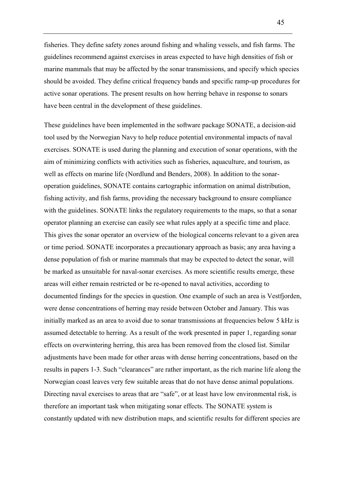fisheries. They define safety zones around fishing and whaling vessels, and fish farms. The guidelines recommend against exercises in areas expected to have high densities of fish or marine mammals that may be affected by the sonar transmissions, and specify which species should be avoided. They define critical frequency bands and specific ramp-up procedures for active sonar operations. The present results on how herring behave in response to sonars have been central in the development of these guidelines.

These guidelines have been implemented in the software package SONATE, a decision-aid tool used by the Norwegian Navy to help reduce potential environmental impacts of naval exercises. SONATE is used during the planning and execution of sonar operations, with the aim of minimizing conflicts with activities such as fisheries, aquaculture, and tourism, as well as effects on marine life (Nordlund and Benders, 2008). In addition to the sonaroperation guidelines, SONATE contains cartographic information on animal distribution, fishing activity, and fish farms, providing the necessary background to ensure compliance with the guidelines. SONATE links the regulatory requirements to the maps, so that a sonar operator planning an exercise can easily see what rules apply at a specific time and place. This gives the sonar operator an overview of the biological concerns relevant to a given area or time period. SONATE incorporates a precautionary approach as basis; any area having a dense population of fish or marine mammals that may be expected to detect the sonar, will be marked as unsuitable for naval-sonar exercises. As more scientific results emerge, these areas will either remain restricted or be re-opened to naval activities, according to documented findings for the species in question. One example of such an area is Vestfjorden, were dense concentrations of herring may reside between October and January. This was initially marked as an area to avoid due to sonar transmissions at frequencies below 5 kHz is assumed detectable to herring. As a result of the work presented in paper 1, regarding sonar effects on overwintering herring, this area has been removed from the closed list. Similar adjustments have been made for other areas with dense herring concentrations, based on the results in papers 1-3. Such "clearances" are rather important, as the rich marine life along the Norwegian coast leaves very few suitable areas that do not have dense animal populations. Directing naval exercises to areas that are "safe", or at least have low environmental risk, is therefore an important task when mitigating sonar effects. The SONATE system is constantly updated with new distribution maps, and scientific results for different species are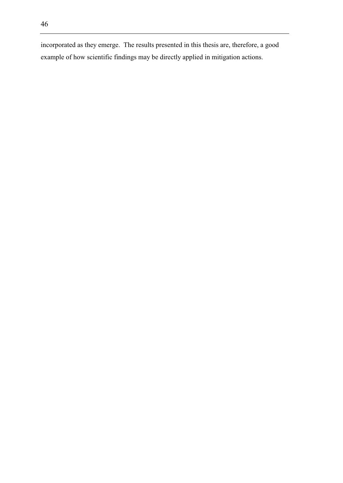incorporated as they emerge. The results presented in this thesis are, therefore, a good example of how scientific findings may be directly applied in mitigation actions.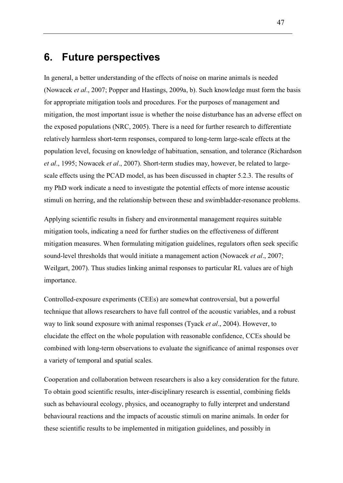### **6. Future perspectives**

In general, a better understanding of the effects of noise on marine animals is needed (Nowacek *et al*., 2007; Popper and Hastings, 2009a, b). Such knowledge must form the basis for appropriate mitigation tools and procedures. For the purposes of management and mitigation, the most important issue is whether the noise disturbance has an adverse effect on the exposed populations (NRC, 2005). There is a need for further research to differentiate relatively harmless short-term responses, compared to long-term large-scale effects at the population level, focusing on knowledge of habituation, sensation, and tolerance (Richardson *et al*., 1995; Nowacek *et al*., 2007). Short-term studies may, however, be related to largescale effects using the PCAD model, as has been discussed in chapter 5.2.3. The results of my PhD work indicate a need to investigate the potential effects of more intense acoustic stimuli on herring, and the relationship between these and swimbladder-resonance problems.

Applying scientific results in fishery and environmental management requires suitable mitigation tools, indicating a need for further studies on the effectiveness of different mitigation measures. When formulating mitigation guidelines, regulators often seek specific sound-level thresholds that would initiate a management action (Nowacek *et al*., 2007; Weilgart, 2007). Thus studies linking animal responses to particular RL values are of high importance.

Controlled-exposure experiments (CEEs) are somewhat controversial, but a powerful technique that allows researchers to have full control of the acoustic variables, and a robust way to link sound exposure with animal responses (Tyack *et al*., 2004). However, to elucidate the effect on the whole population with reasonable confidence, CCEs should be combined with long-term observations to evaluate the significance of animal responses over a variety of temporal and spatial scales.

Cooperation and collaboration between researchers is also a key consideration for the future. To obtain good scientific results, inter-disciplinary research is essential, combining fields such as behavioural ecology, physics, and oceanography to fully interpret and understand behavioural reactions and the impacts of acoustic stimuli on marine animals. In order for these scientific results to be implemented in mitigation guidelines, and possibly in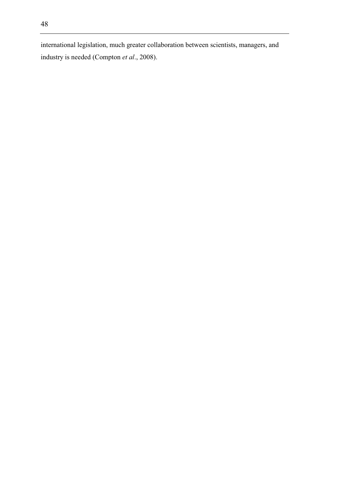international legislation, much greater collaboration between scientists, managers, and industry is needed (Compton *et al*., 2008).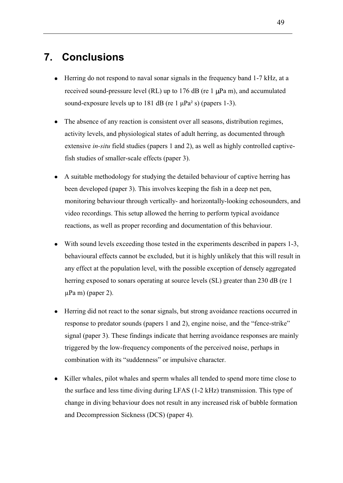# **7. Conclusions**

- Herring do not respond to naval sonar signals in the frequency band 1-7 kHz, at a received sound-pressure level (RL) up to  $176$  dB (re 1  $\mu$ Pa m), and accumulated sound-exposure levels up to 181 dB (re 1 μPa² s) (papers 1-3).
- The absence of any reaction is consistent over all seasons, distribution regimes, activity levels, and physiological states of adult herring, as documented through extensive *in-situ* field studies (papers 1 and 2), as well as highly controlled captivefish studies of smaller-scale effects (paper 3).
- A suitable methodology for studying the detailed behaviour of captive herring has been developed (paper 3). This involves keeping the fish in a deep net pen, monitoring behaviour through vertically- and horizontally-looking echosounders, and video recordings. This setup allowed the herring to perform typical avoidance reactions, as well as proper recording and documentation of this behaviour.
- With sound levels exceeding those tested in the experiments described in papers 1-3, behavioural effects cannot be excluded, but it is highly unlikely that this will result in any effect at the population level, with the possible exception of densely aggregated herring exposed to sonars operating at source levels (SL) greater than 230 dB (re 1  $\mu$ Pa m) (paper 2).
- Herring did not react to the sonar signals, but strong avoidance reactions occurred in response to predator sounds (papers 1 and 2), engine noise, and the "fence-strike" signal (paper 3). These findings indicate that herring avoidance responses are mainly triggered by the low-frequency components of the perceived noise, perhaps in combination with its "suddenness" or impulsive character.
- Killer whales, pilot whales and sperm whales all tended to spend more time close to the surface and less time diving during LFAS (1-2 kHz) transmission. This type of change in diving behaviour does not result in any increased risk of bubble formation and Decompression Sickness (DCS) (paper 4).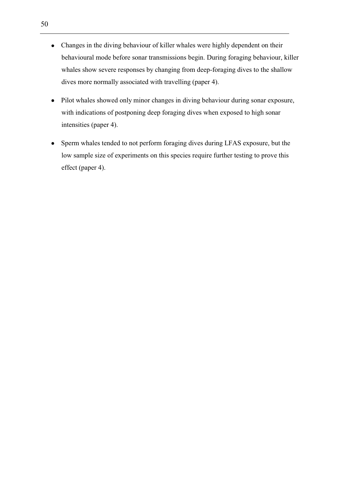- Changes in the diving behaviour of killer whales were highly dependent on their behavioural mode before sonar transmissions begin. During foraging behaviour, killer whales show severe responses by changing from deep-foraging dives to the shallow dives more normally associated with travelling (paper 4).
- Pilot whales showed only minor changes in diving behaviour during sonar exposure,  $\bullet$ with indications of postponing deep foraging dives when exposed to high sonar intensities (paper 4).
- Sperm whales tended to not perform foraging dives during LFAS exposure, but the  $\bullet$ low sample size of experiments on this species require further testing to prove this effect (paper 4).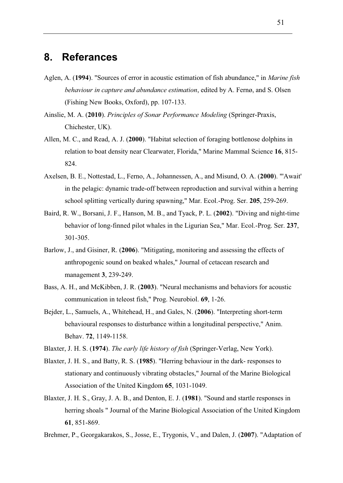### **8. Referances**

- Aglen, A. (**1994**). "Sources of error in acoustic estimation of fish abundance," in *Marine fish behaviour in capture and abundance estimation*, edited by A. Fernø, and S. Olsen (Fishing New Books, Oxford), pp. 107-133.
- Ainslie, M. A. (**2010**). *Principles of Sonar Performance Modeling* (Springer-Praxis, Chichester, UK).
- Allen, M. C., and Read, A. J. (**2000**). "Habitat selection of foraging bottlenose dolphins in relation to boat density near Clearwater, Florida," Marine Mammal Science **16**, 815- 824.
- Axelsen, B. E., Nottestad, L., Ferno, A., Johannessen, A., and Misund, O. A. (**2000**). "'Await' in the pelagic: dynamic trade-off between reproduction and survival within a herring school splitting vertically during spawning," Mar. Ecol.-Prog. Ser. **205**, 259-269.
- Baird, R. W., Borsani, J. F., Hanson, M. B., and Tyack, P. L. (**2002**). "Diving and night-time behavior of long-finned pilot whales in the Ligurian Sea," Mar. Ecol.-Prog. Ser. **237**, 301-305.
- Barlow, J., and Gisiner, R. (**2006**). "Mitigating, monitoring and assessing the effects of anthropogenic sound on beaked whales," Journal of cetacean research and management **3**, 239-249.
- Bass, A. H., and McKibben, J. R. (**2003**). "Neural mechanisms and behaviors for acoustic communication in teleost fish," Prog. Neurobiol. **69**, 1-26.
- Bejder, L., Samuels, A., Whitehead, H., and Gales, N. (**2006**). "Interpreting short-term behavioural responses to disturbance within a longitudinal perspective," Anim. Behav. **72**, 1149-1158.
- Blaxter, J. H. S. (**1974**). *The early life history of fish* (Springer-Verlag, New York).
- Blaxter, J. H. S., and Batty, R. S. (**1985**). "Herring behaviour in the dark- responses to stationary and continuously vibrating obstacles," Journal of the Marine Biological Association of the United Kingdom **65**, 1031-1049.
- Blaxter, J. H. S., Gray, J. A. B., and Denton, E. J. (**1981**). "Sound and startle responses in herring shoals " Journal of the Marine Biological Association of the United Kingdom **61**, 851-869.

Brehmer, P., Georgakarakos, S., Josse, E., Trygonis, V., and Dalen, J. (**2007**). "Adaptation of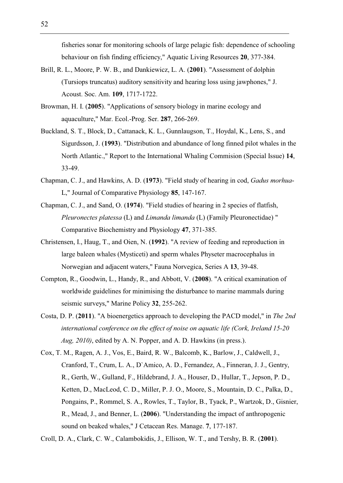fisheries sonar for monitoring schools of large pelagic fish: dependence of schooling behaviour on fish finding efficiency," Aquatic Living Resources **20**, 377-384.

- Brill, R. L., Moore, P. W. B., and Dankiewicz, L. A. (**2001**). "Assessment of dolphin (Tursiops truncatus) auditory sensitivity and hearing loss using jawphones," J. Acoust. Soc. Am. **109**, 1717-1722.
- Browman, H. I. (**2005**). "Applications of sensory biology in marine ecology and aquaculture," Mar. Ecol.-Prog. Ser. **287**, 266-269.
- Buckland, S. T., Block, D., Cattanack, K. L., Gunnlaugson, T., Hoydal, K., Lens, S., and Sigurdsson, J. (**1993**). "Distribution and abundance of long finned pilot whales in the North Atlantic.," Report to the International Whaling Commision (Special Issue) **14**, 33-49.
- Chapman, C. J., and Hawkins, A. D. (**1973**). "Field study of hearing in cod, *Gadus morhua*-L," Journal of Comparative Physiology **85**, 147-167.
- Chapman, C. J., and Sand, O. (**1974**). "Field studies of hearing in 2 species of flatfish, *Pleuronectes platessa* (L) and *Limanda limanda* (L) (Family Pleuronectidae) " Comparative Biochemistry and Physiology **47**, 371-385.
- Christensen, I., Haug, T., and Oien, N. (**1992**). "A review of feeding and reproduction in large baleen whales (Mysticeti) and sperm whales Physeter macrocephalus in Norwegian and adjacent waters," Fauna Norvegica, Series A **13**, 39-48.
- Compton, R., Goodwin, L., Handy, R., and Abbott, V. (**2008**). "A critical examination of worldwide guidelines for minimising the disturbance to marine mammals during seismic surveys," Marine Policy **32**, 255-262.
- Costa, D. P. (**2011**). "A bioenergetics approach to developing the PACD model," in *The 2nd international conference on the effect of noise on aquatic life (Cork, Ireland 15-20 Aug, 2010)*, edited by A. N. Popper, and A. D. Hawkins (in press.).
- Cox, T. M., Ragen, A. J., Vos, E., Baird, R. W., Balcomb, K., Barlow, J., Caldwell, J., Cranford, T., Crum, L. A., D`Amico, A. D., Fernandez, A., Finneran, J. J., Gentry, R., Gerth, W., Gulland, F., Hildebrand, J. A., Houser, D., Hullar, T., Jepson, P. D., Ketten, D., MacLeod, C. D., Miller, P. J. O., Moore, S., Mountain, D. C., Palka, D., Pongains, P., Rommel, S. A., Rowles, T., Taylor, B., Tyack, P., Wartzok, D., Gisnier, R., Mead, J., and Benner, L. (**2006**). "Understanding the impact of anthropogenic sound on beaked whales," J Cetacean Res. Manage. **7**, 177-187.

Croll, D. A., Clark, C. W., Calambokidis, J., Ellison, W. T., and Tershy, B. R. (**2001**).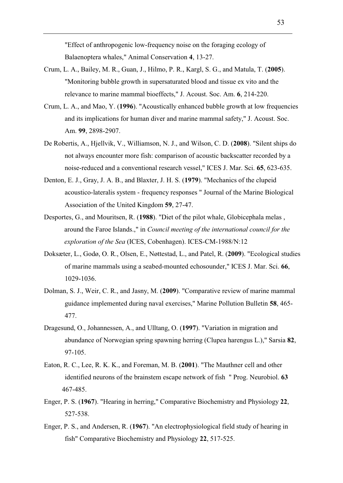"Effect of anthropogenic low-frequency noise on the foraging ecology of Balaenoptera whales," Animal Conservation **4**, 13-27.

- Crum, L. A., Bailey, M. R., Guan, J., Hilmo, P. R., Kargl, S. G., and Matula, T. (**2005**). "Monitoring bubble growth in supersaturated blood and tissue ex vito and the relevance to marine mammal bioeffects," J. Acoust. Soc. Am. **6**, 214-220.
- Crum, L. A., and Mao, Y. (**1996**). "Acoustically enhanced bubble growth at low frequencies and its implications for human diver and marine mammal safety," J. Acoust. Soc. Am. **99**, 2898-2907.
- De Robertis, A., Hjellvik, V., Williamson, N. J., and Wilson, C. D. (**2008**). "Silent ships do not always encounter more fish: comparison of acoustic backscatter recorded by a noise-reduced and a conventional research vessel," ICES J. Mar. Sci. **65**, 623-635.
- Denton, E. J., Gray, J. A. B., and Blaxter, J. H. S. (**1979**). "Mechanics of the clupeid acoustico-lateralis system - frequency responses " Journal of the Marine Biological Association of the United Kingdom **59**, 27-47.
- Desportes, G., and Mouritsen, R. (**1988**). "Diet of the pilot whale, Globicephala melas , around the Faroe Islands.," in *Council meeting of the international council for the exploration of the Sea* (ICES, Cobenhagen). ICES-CM-1988/N:12
- Doksæter, L., Godø, O. R., Olsen, E., Nøttestad, L., and Patel, R. (**2009**). "Ecological studies of marine mammals using a seabed-mounted echosounder," ICES J. Mar. Sci. **66**, 1029-1036.
- Dolman, S. J., Weir, C. R., and Jasny, M. (**2009**). "Comparative review of marine mammal guidance implemented during naval exercises," Marine Pollution Bulletin **58**, 465- 477.
- Dragesund, O., Johannessen, A., and Ulltang, O. (**1997**). "Variation in migration and abundance of Norwegian spring spawning herring (Clupea harengus L.)," Sarsia **82**, 97-105.
- Eaton, R. C., Lee, R. K. K., and Foreman, M. B. (**2001**). "The Mauthner cell and other identified neurons of the brainstem escape network of fish " Prog. Neurobiol. **63**  467-485.
- Enger, P. S. (**1967**). "Hearing in herring," Comparative Biochemistry and Physiology **22**, 527-538.
- Enger, P. S., and Andersen, R. (**1967**). "An electrophysiological field study of hearing in fish" Comparative Biochemistry and Physiology **22**, 517-525.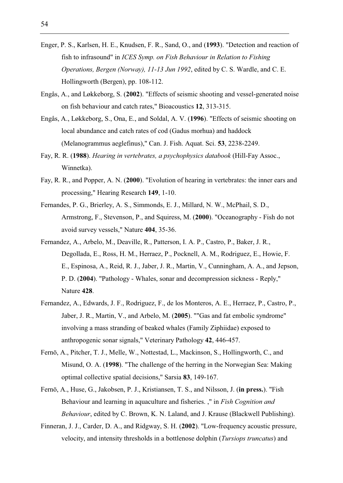- Enger, P. S., Karlsen, H. E., Knudsen, F. R., Sand, O., and (**1993**). "Detection and reaction of fish to infrasound" in *ICES Symp. on Fish Behaviour in Relation to Fishing Operations, Bergen (Norway), 11-13 Jun 1992*, edited by C. S. Wardle, and C. E. Hollingworth (Bergen), pp. 108-112.
- Engås, A., and Løkkeborg, S. (**2002**). "Effects of seismic shooting and vessel-generated noise on fish behaviour and catch rates," Bioacoustics **12**, 313-315.
- Engås, A., Løkkeborg, S., Ona, E., and Soldal, A. V. (**1996**). "Effects of seismic shooting on local abundance and catch rates of cod (Gadus morhua) and haddock (Melanogrammus aeglefinus)," Can. J. Fish. Aquat. Sci. **53**, 2238-2249.
- Fay, R. R. (**1988**). *Hearing in vertebrates, a psychophysics databook* (Hill-Fay Assoc., Winnetka).
- Fay, R. R., and Popper, A. N. (**2000**). "Evolution of hearing in vertebrates: the inner ears and processing," Hearing Research **149**, 1-10.
- Fernandes, P. G., Brierley, A. S., Simmonds, E. J., Millard, N. W., McPhail, S. D., Armstrong, F., Stevenson, P., and Squiress, M. (**2000**). "Oceanography - Fish do not avoid survey vessels," Nature **404**, 35-36.
- Fernandez, A., Arbelo, M., Deaville, R., Patterson, I. A. P., Castro, P., Baker, J. R., Degollada, E., Ross, H. M., Herraez, P., Pocknell, A. M., Rodriguez, E., Howie, F. E., Espinosa, A., Reid, R. J., Jaber, J. R., Martin, V., Cunningham, A. A., and Jepson, P. D. (**2004**). "Pathology - Whales, sonar and decompression sickness - Reply," Nature **428**.
- Fernandez, A., Edwards, J. F., Rodriguez, F., de los Monteros, A. E., Herraez, P., Castro, P., Jaber, J. R., Martin, V., and Arbelo, M. (**2005**). ""Gas and fat embolic syndrome" involving a mass stranding of beaked whales (Family Ziphiidae) exposed to anthropogenic sonar signals," Veterinary Pathology **42**, 446-457.
- Fernö, A., Pitcher, T. J., Melle, W., Nottestad, L., Mackinson, S., Hollingworth, C., and Misund, O. A. (**1998**). "The challenge of the herring in the Norwegian Sea: Making optimal collective spatial decisions," Sarsia **83**, 149-167.
- Fernö, A., Huse, G., Jakobsen, P. J., Kristiansen, T. S., and Nilsson, J. (**in press.**). "Fish Behaviour and learning in aquaculture and fisheries. ," in *Fish Cognition and Behaviour*, edited by C. Brown, K. N. Laland, and J. Krause (Blackwell Publishing).
- Finneran, J. J., Carder, D. A., and Ridgway, S. H. (**2002**). "Low-frequency acoustic pressure, velocity, and intensity thresholds in a bottlenose dolphin (*Tursiops truncatus*) and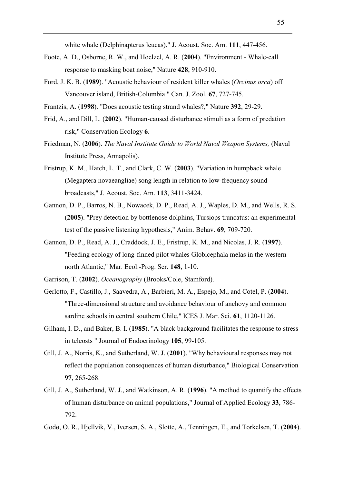white whale (Delphinapterus leucas)," J. Acoust. Soc. Am. **111**, 447-456.

- Foote, A. D., Osborne, R. W., and Hoelzel, A. R. (**2004**). "Environment Whale-call response to masking boat noise," Nature **428**, 910-910.
- Ford, J. K. B. (**1989**). "Acoustic behaviour of resident killer whales (*Orcinus orca*) off Vancouver island, British-Columbia " Can. J. Zool. **67**, 727-745.
- Frantzis, A. (**1998**). "Does acoustic testing strand whales?," Nature **392**, 29-29.
- Frid, A., and Dill, L. (**2002**). "Human-caused disturbance stimuli as a form of predation risk," Conservation Ecology **6**.
- Friedman, N. (**2006**). *The Naval Institute Guide to World Naval Weapon Systems,* (Naval Institute Press, Annapolis).
- Fristrup, K. M., Hatch, L. T., and Clark, C. W. (**2003**). "Variation in humpback whale (Megaptera novaeangliae) song length in relation to low-frequency sound broadcasts," J. Acoust. Soc. Am. **113**, 3411-3424.
- Gannon, D. P., Barros, N. B., Nowacek, D. P., Read, A. J., Waples, D. M., and Wells, R. S. (**2005**). "Prey detection by bottlenose dolphins, Tursiops truncatus: an experimental test of the passive listening hypothesis," Anim. Behav. **69**, 709-720.
- Gannon, D. P., Read, A. J., Craddock, J. E., Fristrup, K. M., and Nicolas, J. R. (**1997**). "Feeding ecology of long-finned pilot whales Globicephala melas in the western north Atlantic," Mar. Ecol.-Prog. Ser. **148**, 1-10.
- Garrison, T. (**2002**). *Oceanography* (Brooks/Cole, Stamford).
- Gerlotto, F., Castillo, J., Saavedra, A., Barbieri, M. A., Espejo, M., and Cotel, P. (**2004**). "Three-dimensional structure and avoidance behaviour of anchovy and common sardine schools in central southern Chile," ICES J. Mar. Sci. **61**, 1120-1126.
- Gilham, I. D., and Baker, B. I. (**1985**). "A black background facilitates the response to stress in teleosts " Journal of Endocrinology **105**, 99-105.
- Gill, J. A., Norris, K., and Sutherland, W. J. (**2001**). "Why behavioural responses may not reflect the population consequences of human disturbance," Biological Conservation **97**, 265-268.
- Gill, J. A., Sutherland, W. J., and Watkinson, A. R. (**1996**). "A method to quantify the effects of human disturbance on animal populations," Journal of Applied Ecology **33**, 786- 792.
- Godø, O. R., Hjellvik, V., Iversen, S. A., Slotte, A., Tenningen, E., and Torkelsen, T. (**2004**).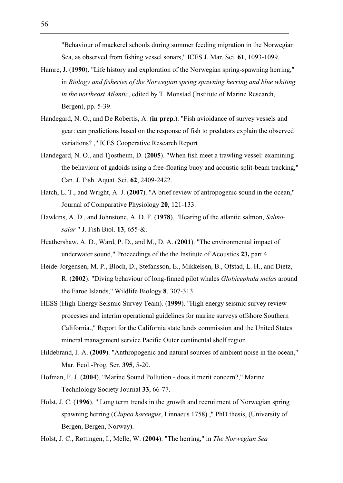"Behaviour of mackerel schools during summer feeding migration in the Norwegian Sea, as observed from fishing vessel sonars," ICES J. Mar. Sci. **61**, 1093-1099.

- Hamre, J. (**1990**). "Life history and exploration of the Norwegian spring-spawning herring," in *Biology and fisheries of the Norwegian spring spawning herring and blue whiting in the northeast Atlantic*, edited by T. Monstad (Institute of Marine Research, Bergen), pp. 5-39.
- Handegard, N. O., and De Robertis, A. (**in prep.**). "Fish avioidance of survey vessels and gear: can predictions based on the response of fish to predators explain the observed variations? ," ICES Cooperative Research Report
- Handegard, N. O., and Tjostheim, D. (**2005**). "When fish meet a trawling vessel: examining the behaviour of gadoids using a free-floating buoy and acoustic split-beam tracking," Can. J. Fish. Aquat. Sci. **62**, 2409-2422.
- Hatch, L. T., and Wright, A. J. (**2007**). "A brief review of antropogenic sound in the ocean," Journal of Comparative Physiology **20**, 121-133.
- Hawkins, A. D., and Johnstone, A. D. F. (**1978**). "Hearing of the atlantic salmon, *Salmosalar* " J. Fish Biol. **13**, 655-&.
- Heathershaw, A. D., Ward, P. D., and M., D. A. (**2001**). "The environmental impact of underwater sound," Proceedings of the the Institute of Acoustics **23,** part 4.
- Heide-Jorgensen, M. P., Bloch, D., Stefansson, E., Mikkelsen, B., Ofstad, L. H., and Dietz, R. (**2002**). "Diving behaviour of long-finned pilot whales *Globicephala melas* around the Faroe Islands," Wildlife Biology **8**, 307-313.
- HESS (High-Energy Seismic Survey Team). (**1999**). "High energy seismic survey review processes and interim operational guidelines for marine surveys offshore Southern California.," Report for the California state lands commission and the United States mineral management service Pacific Outer continental shelf region.
- Hildebrand, J. A. (**2009**). "Anthropogenic and natural sources of ambient noise in the ocean," Mar. Ecol.-Prog. Ser. **395**, 5-20.
- Hofman, F. J. (**2004**). "Marine Sound Pollution does it merit concern?," Marine Technlology Society Journal **33**, 66-77.
- Holst, J. C. (**1996**). " Long term trends in the growth and recruitment of Norwegian spring spawning herring (*Clupea harengus*, Linnaeus 1758) ," PhD thesis, (University of Bergen, Bergen, Norway).
- Holst, J. C., Røttingen, I., Melle, W. (**2004**). "The herring," in *The Norwegian Sea*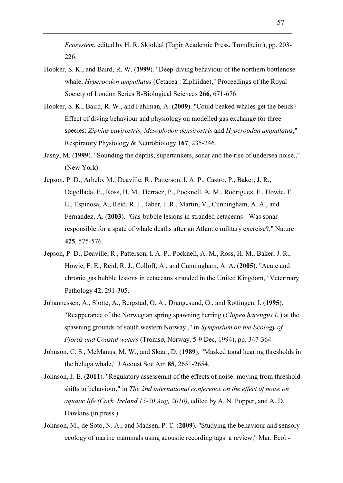*Ecosystem*, edited by H. R. Skjoldal (Tapir Academic Press, Trondheim), pp. 203- 226.

- Hooker, S. K., and Baird, R. W. (**1999**). "Deep-diving behaviour of the northern bottlenose whale, *Hyperoodon ampullatus* (Cetacea : Ziphiidae)," Proceedings of the Royal Society of London Series B-Biological Sciences **266**, 671-676.
- Hooker, S. K., Baird, R. W., and Fahlman, A. (**2009**). "Could beaked whales get the bends? Effect of diving behaviour and physiology on modelled gas exchange for three species: *Ziphius cavirostris, Mesoplodon densirostris* and *Hyperoodon ampullatus*," Respiratory Physiology & Neurobiology **167**, 235-246.
- Jasny, M. (**1999**). "Sounding the depths; supertankers, sonar and the rise of undersea noise.," (New York).
- Jepson, P. D., Arbelo, M., Deaville, R., Patterson, I. A. P., Castro, P., Baker, J. R., Degollada, E., Ross, H. M., Herraez, P., Pocknell, A. M., Rodriguez, F., Howie, F. E., Espinosa, A., Reid, R. J., Jaber, J. R., Martin, V., Cunningham, A. A., and Fernandez, A. (**2003**). "Gas-bubble lesions in stranded cetaceans - Was sonar responsible for a spate of whale deaths after an Atlantic military exercise?," Nature **425**, 575-576.
- Jepson, P. D., Deaville, R., Patterson, I. A. P., Pocknell, A. M., Ross, H. M., Baker, J. R., Howie, F. E., Reid, R. J., Colloff, A., and Cunningham, A. A. (**2005**). "Acute and chronic gas bubble lesions in cetaceans stranded in the United Kingdom," Veterinary Pathology **42**, 291-305.
- Johannessen, A., Slotte, A., Bergstad, O. A., Drangesund, O., and Røttingen, I. (**1995**). "Reapperance of the Norwegian spring spawning herring (*Clupea harengus L.*) at the spawning grounds of south western Norway.," in *Symposium on the Ecology of Fjords and Coastal waters* (Tromsø, Norway, 5-9 Dec, 1994), pp. 347-364.
- Johnson, C. S., McManus, M. W., and Skaar, D. (**1989**). "Masked tonal hearing thresholds in the beluga whale," J Acoust Soc Am **85**, 2651-2654.
- Johnson, J. E. (**2011**). "Regulatory assessemnt of the effects of noise: moving from threshold shifts to behaviour," in *The 2nd international conference on the effect of noise on aquatic life (Cork, Ireland 15-20 Aug, 2010)*, edited by A. N. Popper, and A. D. Hawkins (in press.).
- Johnson, M., de Soto, N. A., and Madsen, P. T. (**2009**). "Studying the behaviour and sensory ecology of marine mammals using acoustic recording tags: a review," Mar. Ecol.-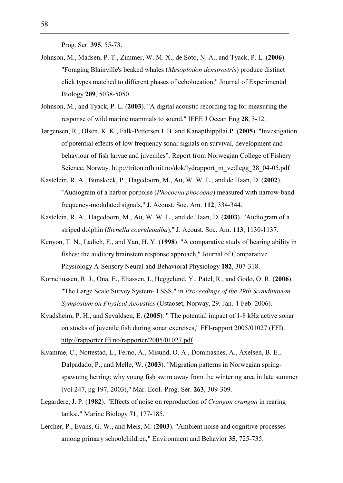Prog. Ser. **395**, 55-73.

- Johnson, M., Madsen, P. T., Zimmer, W. M. X., de Soto, N. A., and Tyack, P. L. (**2006**). "Foraging Blainville's beaked whales (*Mesoplodon densirostris*) produce distinct click types matched to different phases of echolocation," Journal of Experimental Biology **209**, 5038-5050.
- Johnson, M., and Tyack, P. L. (**2003**). "A digital acoustic recording tag for measuring the response of wild marine mammals to sound," IEEE J Ocean Eng **28**, 3-12.
- Jørgensen, R., Olsen, K. K., Falk-Pettersen I. B. and Kanapthippilai P. (**2005**). "Investigation of potential effects of low frequency sonar signals on survival, development and behaviour of fish larvae and juveniles". Report from Norwegian College of Fishery Science, Norway. http://triton.nfh.uit.no/dok/lydrapport\_m\_vedlegg\_28\_04-05.pdf
- Kastelein, R. A., Bunskoek, P., Hagedoorn, M., Au, W. W. L., and de Haan, D. (**2002**). "Audiogram of a harbor porpoise (*Phocoena phocoena*) measured with narrow-band frequency-modulated signals," J. Acoust. Soc. Am. **112**, 334-344.
- Kastelein, R. A., Hagedoorn, M., Au, W. W. L., and de Haan, D. (**2003**). "Audiogram of a striped dolphin (*Stenella coeruleoalba*)," J. Acoust. Soc. Am. **113**, 1130-1137.
- Kenyon, T. N., Ladich, F., and Yan, H. Y. (**1998**). "A comparative study of hearing ability in fishes: the auditory brainstem response approach," Journal of Comparative Physiology A-Sensory Neural and Behavioral Physiology **182**, 307-318.
- Korneliussen, R. J., Ona, E., Eliassen, I., Heggelund, Y., Patel, R., and Godø, O. R. (**2006**). "The Large Scale Survey System- LSSS," in *Proceedings of the 29th Scandinavian Symposium on Physical Acoustics* (Ustaoset, Norway, 29. Jan.-1 Feb. 2006).
- Kvadsheim, P. H., and Sevaldsen, E. (**2005**). " The potential impact of 1-8 kHz active sonar on stocks of juvenile fish during sonar exercises," FFI-rapport 2005/01027 (FFI). http://rapporter.ffi.no/rapporter/2005/01027.pdf
- Kvamme, C., Nottestad, L., Ferno, A., Misund, O. A., Dommasnes, A., Axelsen, B. E., Dalpadado, P., and Melle, W. (**2003**). "Migration patterns in Norwegian springspawning herring: why young fish swim away from the wintering area in late summer (vol 247, pg 197, 2003)," Mar. Ecol.-Prog. Ser. **263**, 309-309.
- Legardere, J. P. (**1982**). "Effects of noise on reproduction of *Crangon crangon* in rearing tanks.," Marine Biology **71**, 177-185.
- Lercher, P., Evans, G. W., and Meis, M. (**2003**). "Ambient noise and cognitive processes among primary schoolchildren," Environment and Behavior **35**, 725-735.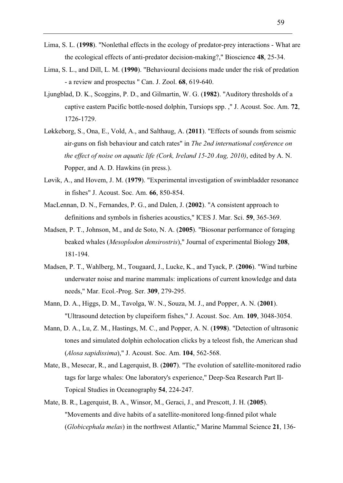- Lima, S. L. (**1998**). "Nonlethal effects in the ecology of predator-prey interactions What are the ecological effects of anti-predator decision-making?," Bioscience **48**, 25-34.
- Lima, S. L., and Dill, L. M. (**1990**). "Behavioural decisions made under the risk of predation - a review and prospectus " Can. J. Zool. **68**, 619-640.
- Ljungblad, D. K., Scoggins, P. D., and Gilmartin, W. G. (**1982**). "Auditory thresholds of a captive eastern Pacific bottle-nosed dolphin, Tursiops spp. ," J. Acoust. Soc. Am. **72**, 1726-1729.
- Løkkeborg, S., Ona, E., Vold, A., and Salthaug, A. (**2011**). "Effects of sounds from seismic air-guns on fish behaviour and catch rates" in *The 2nd international conference on the effect of noise on aquatic life (Cork, Ireland 15-20 Aug, 2010)*, edited by A. N. Popper, and A. D. Hawkins (in press.).
- Løvik, A., and Hovem, J. M. (**1979**). "Experimental investigation of swimbladder resonance in fishes" J. Acoust. Soc. Am. **66**, 850-854.
- MacLennan, D. N., Fernandes, P. G., and Dalen, J. (**2002**). "A consistent approach to definitions and symbols in fisheries acoustics," ICES J. Mar. Sci. **59**, 365-369.
- Madsen, P. T., Johnson, M., and de Soto, N. A. (**2005**). "Biosonar performance of foraging beaked whales (*Mesoplodon densirostris*)," Journal of experimental Biology **208**, 181-194.
- Madsen, P. T., Wahlberg, M., Tougaard, J., Lucke, K., and Tyack, P. (**2006**). "Wind turbine underwater noise and marine mammals: implications of current knowledge and data needs," Mar. Ecol.-Prog. Ser. **309**, 279-295.
- Mann, D. A., Higgs, D. M., Tavolga, W. N., Souza, M. J., and Popper, A. N. (**2001**). "Ultrasound detection by clupeiform fishes," J. Acoust. Soc. Am. **109**, 3048-3054.
- Mann, D. A., Lu, Z. M., Hastings, M. C., and Popper, A. N. (**1998**). "Detection of ultrasonic tones and simulated dolphin echolocation clicks by a teleost fish, the American shad (*Alosa sapidissima*)," J. Acoust. Soc. Am. **104**, 562-568.
- Mate, B., Mesecar, R., and Lagerquist, B. (**2007**). "The evolution of satellite-monitored radio tags for large whales: One laboratory's experience," Deep-Sea Research Part II-Topical Studies in Oceanography **54**, 224-247.
- Mate, B. R., Lagerquist, B. A., Winsor, M., Geraci, J., and Prescott, J. H. (**2005**). "Movements and dive habits of a satellite-monitored long-finned pilot whale (*Globicephala melas*) in the northwest Atlantic," Marine Mammal Science **21**, 136-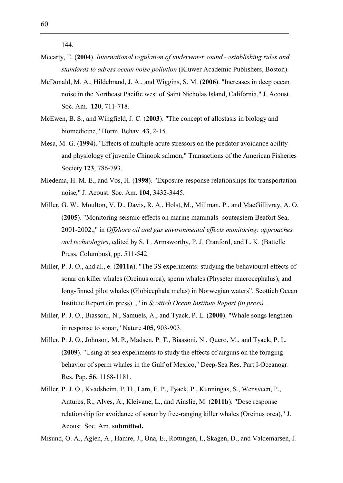144.

- Mccarty, E. (**2004**). *International regulation of underwater sound establishing rules and standards to adress ocean noise pollution* (Kluwer Academic Publishers, Boston).
- McDonald, M. A., Hildebrand, J. A., and Wiggins, S. M. (**2006**). "Increases in deep ocean noise in the Northeast Pacific west of Saint Nicholas Island, California," J. Acoust. Soc. Am. **120**, 711-718.
- McEwen, B. S., and Wingfield, J. C. (**2003**). "The concept of allostasis in biology and biomedicine," Horm. Behav. **43**, 2-15.
- Mesa, M. G. (**1994**). "Effects of multiple acute stressors on the predator avoidance ability and physiology of juvenile Chinook salmon," Transactions of the American Fisheries Society **123**, 786-793.
- Miedema, H. M. E., and Vos, H. (**1998**). "Exposure-response relationships for transportation noise," J. Acoust. Soc. Am. **104**, 3432-3445.
- Miller, G. W., Moulton, V. D., Davis, R. A., Holst, M., Millman, P., and MacGillivray, A. O. (**2005**). "Monitoring seismic effects on marine mammals- souteastern Beafort Sea, 2001-2002.," in *Offshore oil and gas environmental effects monitoring: approaches and technologies*, edited by S. L. Armsworthy, P. J. Cranford, and L. K. (Battelle Press, Columbus), pp. 511-542.
- Miller, P. J. O., and al., e. (**2011a**). "The 3S experiments: studying the behavioural effects of sonar on killer whales (Orcinus orca), sperm whales (Physeter macrocephalus), and long-finned pilot whales (Globicephala melas) in Norwegian waters". Scottich Ocean Institute Report (in press). ," in *Scottich Ocean Institute Report (in press).* .
- Miller, P. J. O., Biassoni, N., Samuels, A., and Tyack, P. L. (**2000**). "Whale songs lengthen in response to sonar," Nature **405**, 903-903.
- Miller, P. J. O., Johnson, M. P., Madsen, P. T., Biassoni, N., Quero, M., and Tyack, P. L. (**2009**). "Using at-sea experiments to study the effects of airguns on the foraging behavior of sperm whales in the Gulf of Mexico," Deep-Sea Res. Part I-Oceanogr. Res. Pap. **56**, 1168-1181.
- Miller, P. J. O., Kvadsheim, P. H., Lam, F. P., Tyack, P., Kunningas, S., Wensveen, P., Antures, R., Alves, A., Kleivane, L., and Ainslie, M. (**2011b**). "Dose response relationship for avoidance of sonar by free-ranging killer whales (Orcinus orca)," J. Acoust. Soc. Am. **submitted.**

Misund, O. A., Aglen, A., Hamre, J., Ona, E., Rottingen, I., Skagen, D., and Valdemarsen, J.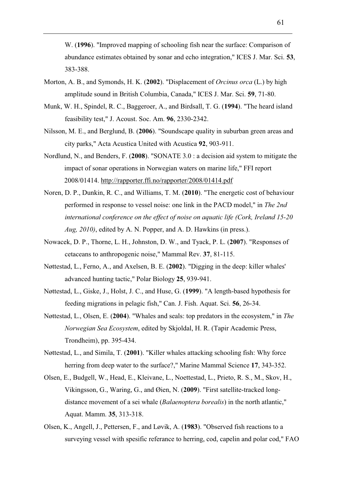W. (**1996**). "Improved mapping of schooling fish near the surface: Comparison of abundance estimates obtained by sonar and echo integration," ICES J. Mar. Sci. **53**, 383-388.

- Morton, A. B., and Symonds, H. K. (**2002**). "Displacement of *Orcinus orca* (L.) by high amplitude sound in British Columbia, Canada," ICES J. Mar. Sci. **59**, 71-80.
- Munk, W. H., Spindel, R. C., Baggeroer, A., and Birdsall, T. G. (**1994**). "The heard island feasibility test," J. Acoust. Soc. Am. **96**, 2330-2342.
- Nilsson, M. E., and Berglund, B. (**2006**). "Soundscape quality in suburban green areas and city parks," Acta Acustica United with Acustica **92**, 903-911.
- Nordlund, N., and Benders, F. (**2008**). "SONATE 3.0 : a decision aid system to mitigate the impact of sonar operations in Norwegian waters on marine life," FFI report 2008/01414. http://rapporter.ffi.no/rapporter/2008/01414.pdf
- Noren, D. P., Dunkin, R. C., and Williams, T. M. (**2010**). "The energetic cost of behaviour performed in response to vessel noise: one link in the PACD model," in *The 2nd international conference on the effect of noise on aquatic life (Cork, Ireland 15-20 Aug, 2010)*, edited by A. N. Popper, and A. D. Hawkins (in press.).
- Nowacek, D. P., Thorne, L. H., Johnston, D. W., and Tyack, P. L. (**2007**). "Responses of cetaceans to anthropogenic noise," Mammal Rev. **37**, 81-115.
- Nøttestad, L., Ferno, A., and Axelsen, B. E. (**2002**). "Digging in the deep: killer whales' advanced hunting tactic," Polar Biology **25**, 939-941.
- Nøttestad, L., Giske, J., Holst, J. C., and Huse, G. (**1999**). "A length-based hypothesis for feeding migrations in pelagic fish," Can. J. Fish. Aquat. Sci. **56**, 26-34.
- Nøttestad, L., Olsen, E. (**2004**). "Whales and seals: top predators in the ecosystem," in *The Norwegian Sea Ecosystem*, edited by Skjoldal, H. R. (Tapir Academic Press, Trondheim), pp. 395-434.
- Nøttestad, L., and Simila, T. (**2001**). "Killer whales attacking schooling fish: Why force herring from deep water to the surface?," Marine Mammal Science **17**, 343-352.
- Olsen, E., Budgell, W., Head, E., Kleivane, L., Noettestad, L., Prieto, R. S., M., Skov, H., Vikingsson, G., Waring, G., and Øien, N. (**2009**). "First satellite-tracked longdistance movement of a sei whale (*Balaenoptera borealis*) in the north atlantic," Aquat. Mamm. **35**, 313-318.
- Olsen, K., Angell, J., Pettersen, F., and Løvik, A. (**1983**). "Observed fish reactions to a surveying vessel with spesific referance to herring, cod, capelin and polar cod," FAO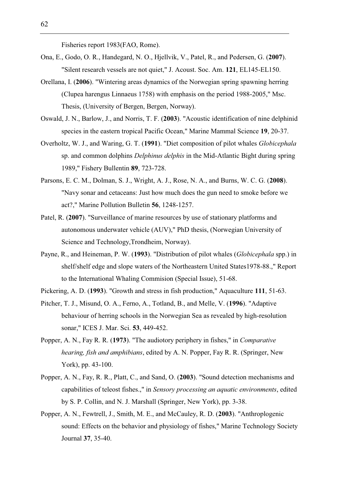Fisheries report 1983(FAO, Rome).

- Ona, E., Godo, O. R., Handegard, N. O., Hjellvik, V., Patel, R., and Pedersen, G. (**2007**). "Silent research vessels are not quiet," J. Acoust. Soc. Am. **121**, EL145-EL150.
- Orellana, I. (**2006**). "Wintering areas dynamics of the Norwegian spring spawning herring (Clupea harengus Linnaeus 1758) with emphasis on the period 1988-2005," Msc. Thesis, (University of Bergen, Bergen, Norway).
- Oswald, J. N., Barlow, J., and Norris, T. F. (**2003**). "Acoustic identification of nine delphinid species in the eastern tropical Pacific Ocean," Marine Mammal Science **19**, 20-37.
- Overholtz, W. J., and Waring, G. T. (**1991**). "Diet composition of pilot whales *Globicephala* sp. and common dolphins *Delphinus delphis* in the Mid-Atlantic Bight during spring 1989," Fishery Bullentin **89**, 723-728.
- Parsons, E. C. M., Dolman, S. J., Wright, A. J., Rose, N. A., and Burns, W. C. G. (**2008**). "Navy sonar and cetaceans: Just how much does the gun need to smoke before we act?," Marine Pollution Bulletin **56**, 1248-1257.
- Patel, R. (**2007**). "Surveillance of marine resources by use of stationary platforms and autonomous underwater vehicle (AUV)," PhD thesis, (Norwegian University of Science and Technology,Trondheim, Norway).
- Payne, R., and Heineman, P. W. (**1993**). "Distribution of pilot whales (*Globicephala* spp.) in shelf/shelf edge and slope waters of the Northeastern United States1978-88.," Report to the International Whaling Commision (Special Issue), 51-68.
- Pickering, A. D. (**1993**). "Growth and stress in fish production," Aquaculture **111**, 51-63.
- Pitcher, T. J., Misund, O. A., Ferno, A., Totland, B., and Melle, V. (**1996**). "Adaptive behaviour of herring schools in the Norwegian Sea as revealed by high-resolution sonar," ICES J. Mar. Sci. **53**, 449-452.
- Popper, A. N., Fay R. R. (**1973**). "The audiotory periphery in fishes," in *Comparative hearing, fish and amphibians*, edited by A. N. Popper, Fay R. R. (Springer, New York), pp. 43-100.
- Popper, A. N., Fay, R. R., Platt, C., and Sand, O. (**2003**). "Sound detection mechanisms and capabilities of teleost fishes.," in *Sensory processing an aquatic environments*, edited by S. P. Collin, and N. J. Marshall (Springer, New York), pp. 3-38.
- Popper, A. N., Fewtrell, J., Smith, M. E., and McCauley, R. D. (**2003**). "Anthroplogenic sound: Effects on the behavior and physiology of fishes," Marine Technology Society Journal **37**, 35-40.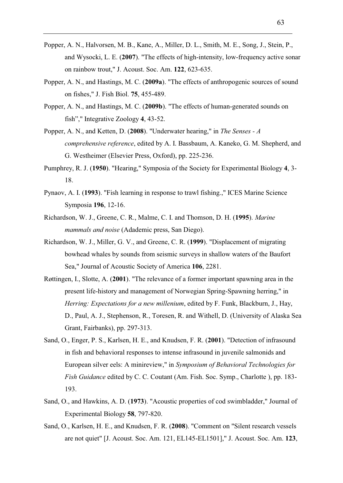- Popper, A. N., Halvorsen, M. B., Kane, A., Miller, D. L., Smith, M. E., Song, J., Stein, P., and Wysocki, L. E. (**2007**). "The effects of high-intensity, low-frequency active sonar on rainbow trout," J. Acoust. Soc. Am. **122**, 623-635.
- Popper, A. N., and Hastings, M. C. (**2009a**). "The effects of anthropogenic sources of sound on fishes," J. Fish Biol. **75**, 455-489.
- Popper, A. N., and Hastings, M. C. (**2009b**). "The effects of human-generated sounds on fish"," Integrative Zoology **4**, 43-52.
- Popper, A. N., and Ketten, D. (**2008**). "Underwater hearing," in *The Senses A comprehensive reference*, edited by A. I. Bassbaum, A. Kaneko, G. M. Shepherd, and G. Westheimer (Elsevier Press, Oxford), pp. 225-236.
- Pumphrey, R. J. (**1950**). "Hearing," Symposia of the Society for Experimental Biology **4**, 3- 18.
- Pynaov, A. I. (**1993**). "Fish learning in response to trawl fishing.," ICES Marine Science Symposia **196**, 12-16.
- Richardson, W. J., Greene, C. R., Malme, C. I. and Thomson, D. H. (**1995**). *Marine mammals and noise* (Adademic press, San Diego).
- Richardson, W. J., Miller, G. V., and Greene, C. R. (**1999**). "Displacement of migrating bowhead whales by sounds from seismic surveys in shallow waters of the Baufort Sea," Journal of Acoustic Society of America **106**, 2281.
- Røttingen, I., Slotte, A. (**2001**). "The relevance of a former important spawning area in the present life-history and management of Norwegian Spring-Spawning herring," in *Herring: Expectations for a new millenium*, edited by F. Funk, Blackburn, J., Hay, D., Paul, A. J., Stephenson, R., Toresen, R. and Withell, D. (University of Alaska Sea Grant, Fairbanks), pp. 297-313.
- Sand, O., Enger, P. S., Karlsen, H. E., and Knudsen, F. R. (**2001**). "Detection of infrasound in fish and behavioral responses to intense infrasound in juvenile salmonids and European silver eels: A minireview," in *Symposium of Behavioral Technologies for Fish Guidance* edited by C. C. Coutant (Am. Fish. Soc. Symp., Charlotte ), pp. 183- 193.
- Sand, O., and Hawkins, A. D. (**1973**). "Acoustic properties of cod swimbladder," Journal of Experimental Biology **58**, 797-820.
- Sand, O., Karlsen, H. E., and Knudsen, F. R. (**2008**). "Comment on "Silent research vessels are not quiet" [J. Acoust. Soc. Am. 121, EL145-EL1501]," J. Acoust. Soc. Am. **123**,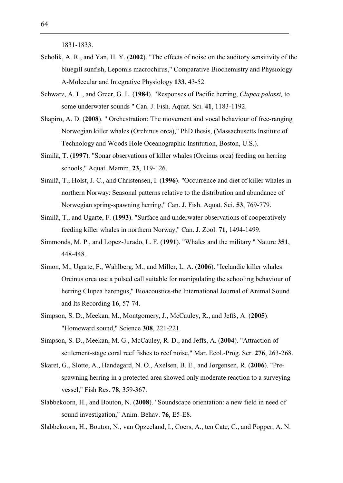1831-1833.

- Scholik, A. R., and Yan, H. Y. (**2002**). "The effects of noise on the auditory sensitivity of the bluegill sunfish, Lepomis macrochirus," Comparative Biochemistry and Physiology A-Molecular and Integrative Physiology **133**, 43-52.
- Schwarz, A. L., and Greer, G. L. (**1984**). "Responses of Pacific herring, *Clupea palassi,* to some underwater sounds " Can. J. Fish. Aquat. Sci. **41**, 1183-1192.
- Shapiro, A. D. (**2008**). " Orchestration: The movement and vocal behaviour of free-ranging Norwegian killer whales (Orchinus orca)," PhD thesis, (Massachusetts Institute of Technology and Woods Hole Oceanographic Institution, Boston, U.S.).
- Similä, T. (**1997**). "Sonar observations of killer whales (Orcinus orca) feeding on herring schools," Aquat. Mamm. **23**, 119-126.
- Similä, T., Holst, J. C., and Christensen, I. (**1996**). "Occurrence and diet of killer whales in northern Norway: Seasonal patterns relative to the distribution and abundance of Norwegian spring-spawning herring," Can. J. Fish. Aquat. Sci. **53**, 769-779.
- Similä, T., and Ugarte, F. (**1993**). "Surface and underwater observations of cooperatively feeding killer whales in northern Norway," Can. J. Zool. **71**, 1494-1499.
- Simmonds, M. P., and Lopez-Jurado, L. F. (**1991**). "Whales and the military " Nature **351**, 448-448.
- Simon, M., Ugarte, F., Wahlberg, M., and Miller, L. A. (**2006**). "Icelandic killer whales Orcinus orca use a pulsed call suitable for manipulating the schooling behaviour of herring Clupea harengus," Bioacoustics-the International Journal of Animal Sound and Its Recording **16**, 57-74.
- Simpson, S. D., Meekan, M., Montgomery, J., McCauley, R., and Jeffs, A. (**2005**). "Homeward sound," Science **308**, 221-221.
- Simpson, S. D., Meekan, M. G., McCauley, R. D., and Jeffs, A. (**2004**). "Attraction of settlement-stage coral reef fishes to reef noise," Mar. Ecol.-Prog. Ser. **276**, 263-268.
- Skaret, G., Slotte, A., Handegard, N. O., Axelsen, B. E., and Jørgensen, R. (**2006**). "Prespawning herring in a protected area showed only moderate reaction to a surveying vessel," Fish Res. **78**, 359-367.
- Slabbekoorn, H., and Bouton, N. (**2008**). "Soundscape orientation: a new field in need of sound investigation," Anim. Behav. **76**, E5-E8.
- Slabbekoorn, H., Bouton, N., van Opzeeland, I., Coers, A., ten Cate, C., and Popper, A. N.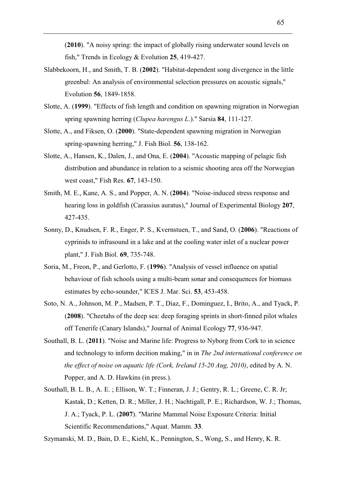(**2010**). "A noisy spring: the impact of globally rising underwater sound levels on fish," Trends in Ecology & Evolution **25**, 419-427.

- Slabbekoorn, H., and Smith, T. B. (**2002**). "Habitat-dependent song divergence in the little greenbul: An analysis of environmental selection pressures on acoustic signals," Evolution **56**, 1849-1858.
- Slotte, A. (**1999**). "Effects of fish length and condition on spawning migration in Norwegian spring spawning herring (*Clupea harengus L*.)." Sarsia **84**, 111-127.
- Slotte, A., and Fiksen, O. (**2000**). "State-dependent spawning migration in Norwegian spring-spawning herring," J. Fish Biol. **56**, 138-162.
- Slotte, A., Hansen, K., Dalen, J., and Ona, E. (**2004**). "Acoustic mapping of pelagic fish distribution and abundance in relation to a seismic shooting area off the Norwegian west coast," Fish Res. **67**, 143-150.
- Smith, M. E., Kane, A. S., and Popper, A. N. (**2004**). "Noise-induced stress response and hearing loss in goldfish (Carassius auratus)," Journal of Experimental Biology **207**, 427-435.
- Sonny, D., Knudsen, F. R., Enger, P. S., Kvernstuen, T., and Sand, O. (**2006**). "Reactions of cyprinids to infrasound in a lake and at the cooling water inlet of a nuclear power plant," J. Fish Biol. **69**, 735-748.
- Soria, M., Freon, P., and Gerlotto, F. (**1996**). "Analysis of vessel influence on spatial behaviour of fish schools using a multi-beam sonar and consequences for biomass estimates by echo-sounder," ICES J. Mar. Sci. **53**, 453-458.
- Soto, N. A., Johnson, M. P., Madsen, P. T., Diaz, F., Dominguez, I., Brito, A., and Tyack, P. (**2008**). "Cheetahs of the deep sea: deep foraging sprints in short-finned pilot whales off Tenerife (Canary Islands)," Journal of Animal Ecology **77**, 936-947.
- Southall, B. L. (**2011**). "Noise and Marine life: Progress to Nyborg from Cork to in science and technology to inform decition making," in in *The 2nd international conference on the effect of noise on aquatic life (Cork, Ireland 15-20 Aug, 2010)*, edited by A. N. Popper, and A. D. Hawkins (in press.).
- Southall, B. L. B., A. E. ; Ellison, W. T.; Finneran, J. J.; Gentry, R. L.; Greene, C. R. Jr; Kastak, D.; Ketten, D. R.; Miller, J. H.; Nachtigall, P. E.; Richardson, W. J.; Thomas, J. A.; Tyack, P. L. (**2007**). "Marine Mammal Noise Exposure Criteria: Initial Scientific Recommendations," Aquat. Mamm. **33**.

Szymanski, M. D., Bain, D. E., Kiehl, K., Pennington, S., Wong, S., and Henry, K. R.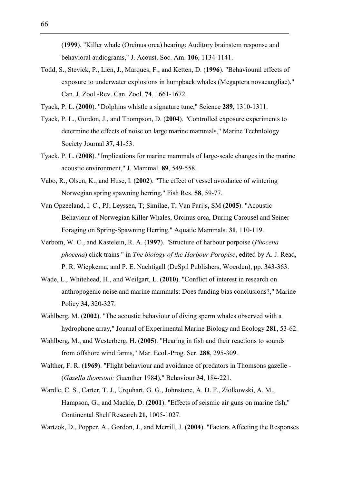(**1999**). "Killer whale (Orcinus orca) hearing: Auditory brainstem response and behavioral audiograms," J. Acoust. Soc. Am. **106**, 1134-1141.

Todd, S., Stevick, P., Lien, J., Marques, F., and Ketten, D. (**1996**). "Behavioural effects of exposure to underwater explosions in humpback whales (Megaptera novaeangliae)," Can. J. Zool.-Rev. Can. Zool. **74**, 1661-1672.

Tyack, P. L. (**2000**). "Dolphins whistle a signature tune," Science **289**, 1310-1311.

- Tyack, P. L., Gordon, J., and Thompson, D. (**2004**). "Controlled exposure experiments to determine the effects of noise on large marine mammals," Marine Technlology Society Journal **37**, 41-53.
- Tyack, P. L. (**2008**). "Implications for marine mammals of large-scale changes in the marine acoustic environment," J. Mammal. **89**, 549-558.
- Vabo, R., Olsen, K., and Huse, I. (**2002**). "The effect of vessel avoidance of wintering Norwegian spring spawning herring," Fish Res. **58**, 59-77.
- Van Opzeeland, I. C., PJ; Leyssen, T; Similae, T; Van Parijs, SM (**2005**). "Acoustic Behaviour of Norwegian Killer Whales, Orcinus orca, During Carousel and Seiner Foraging on Spring-Spawning Herring," Aquatic Mammals. **31**, 110-119.
- Verbom, W. C., and Kastelein, R. A. (**1997**). "Structure of harbour porpoise (*Phocena phocena*) click trains " in *The biology of the Harbour Poropise*, edited by A. J. Read, P. R. Wiepkema, and P. E. Nachtigall (DeSpil Publishers, Woerden), pp. 343-363.
- Wade, L., Whitehead, H., and Weilgart, L. (**2010**). "Conflict of interest in research on anthropogenic noise and marine mammals: Does funding bias conclusions?," Marine Policy **34**, 320-327.
- Wahlberg, M. (**2002**). "The acoustic behaviour of diving sperm whales observed with a hydrophone array," Journal of Experimental Marine Biology and Ecology **281**, 53-62.
- Wahlberg, M., and Westerberg, H. (**2005**). "Hearing in fish and their reactions to sounds from offshore wind farms," Mar. Ecol.-Prog. Ser. **288**, 295-309.
- Walther, F. R. (**1969**). "Flight behaviour and avoidance of predators in Thomsons gazelle (*Gazella thomsoni:* Guenther 1984)," Behaviour **34**, 184-221.
- Wardle, C. S., Carter, T. J., Urquhart, G. G., Johnstone, A. D. F., Ziolkowski, A. M., Hampson, G., and Mackie, D. (**2001**). "Effects of seismic air guns on marine fish," Continental Shelf Research **21**, 1005-1027.

Wartzok, D., Popper, A., Gordon, J., and Merrill, J. (**2004**). "Factors Affecting the Responses